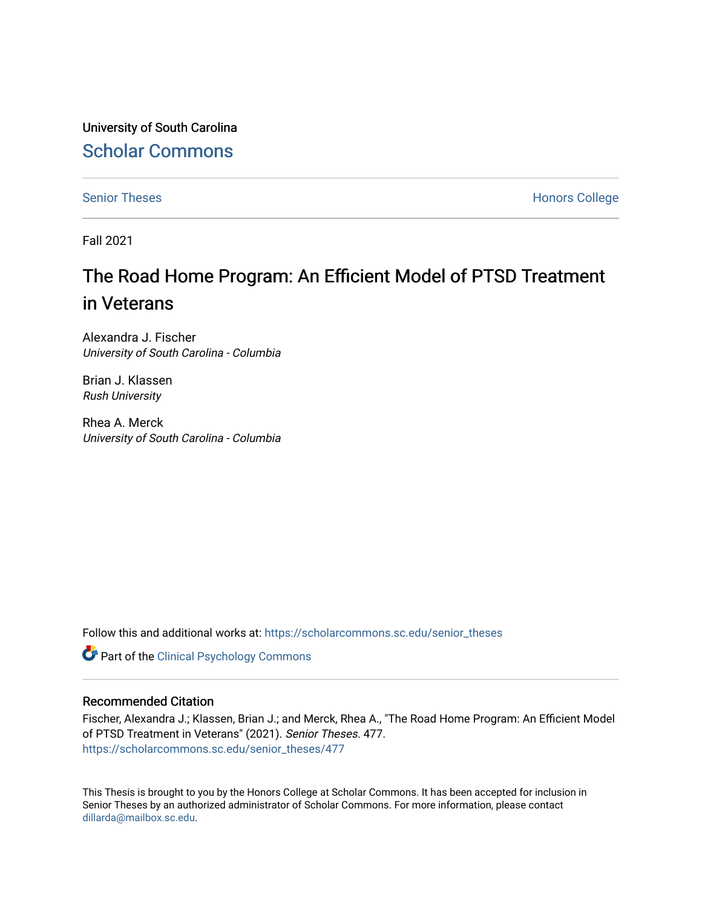University of South Carolina [Scholar Commons](https://scholarcommons.sc.edu/) 

[Senior Theses](https://scholarcommons.sc.edu/senior_theses) **Honors College** Honors College

Fall 2021

# The Road Home Program: An Efficient Model of PTSD Treatment in Veterans

Alexandra J. Fischer University of South Carolina - Columbia

Brian J. Klassen Rush University

Rhea A. Merck University of South Carolina - Columbia

Follow this and additional works at: [https://scholarcommons.sc.edu/senior\\_theses](https://scholarcommons.sc.edu/senior_theses?utm_source=scholarcommons.sc.edu%2Fsenior_theses%2F477&utm_medium=PDF&utm_campaign=PDFCoverPages) 

**Part of the Clinical Psychology Commons** 

#### Recommended Citation

Fischer, Alexandra J.; Klassen, Brian J.; and Merck, Rhea A., "The Road Home Program: An Efficient Model of PTSD Treatment in Veterans" (2021). Senior Theses. 477. [https://scholarcommons.sc.edu/senior\\_theses/477](https://scholarcommons.sc.edu/senior_theses/477?utm_source=scholarcommons.sc.edu%2Fsenior_theses%2F477&utm_medium=PDF&utm_campaign=PDFCoverPages) 

This Thesis is brought to you by the Honors College at Scholar Commons. It has been accepted for inclusion in Senior Theses by an authorized administrator of Scholar Commons. For more information, please contact [dillarda@mailbox.sc.edu](mailto:dillarda@mailbox.sc.edu).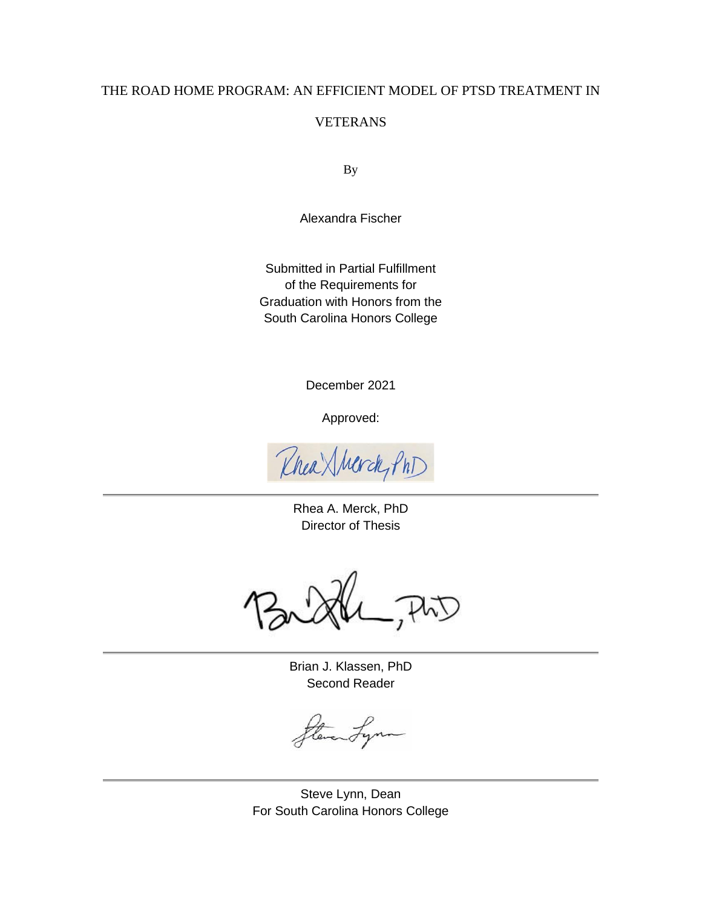# THE ROAD HOME PROGRAM: AN EFFICIENT MODEL OF PTSD TREATMENT IN

# VETERANS

By

Alexandra Fischer

Submitted in Partial Fulfillment of the Requirements for Graduation with Honors from the South Carolina Honors College

December 2021

Approved:

Rhea Sherck, Phi

Rhea A. Merck, PhD Director of Thesis

Brian J. Klassen, PhD Second Reader

aty

Steve Lynn, Dean For South Carolina Honors College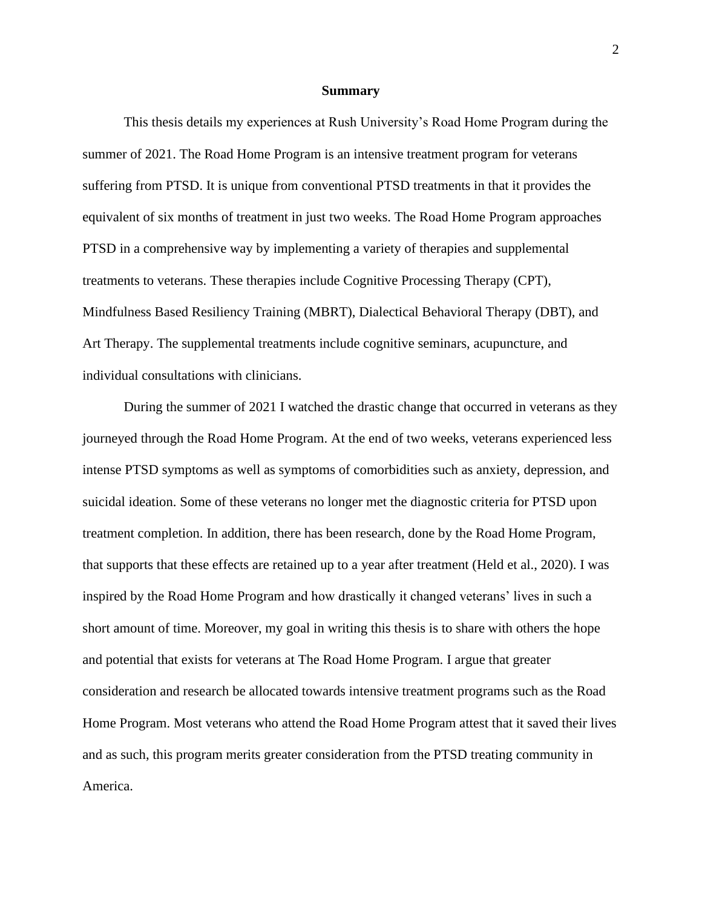#### **Summary**

This thesis details my experiences at Rush University's Road Home Program during the summer of 2021. The Road Home Program is an intensive treatment program for veterans suffering from PTSD. It is unique from conventional PTSD treatments in that it provides the equivalent of six months of treatment in just two weeks. The Road Home Program approaches PTSD in a comprehensive way by implementing a variety of therapies and supplemental treatments to veterans. These therapies include Cognitive Processing Therapy (CPT), Mindfulness Based Resiliency Training (MBRT), Dialectical Behavioral Therapy (DBT), and Art Therapy. The supplemental treatments include cognitive seminars, acupuncture, and individual consultations with clinicians.

During the summer of 2021 I watched the drastic change that occurred in veterans as they journeyed through the Road Home Program. At the end of two weeks, veterans experienced less intense PTSD symptoms as well as symptoms of comorbidities such as anxiety, depression, and suicidal ideation. Some of these veterans no longer met the diagnostic criteria for PTSD upon treatment completion. In addition, there has been research, done by the Road Home Program, that supports that these effects are retained up to a year after treatment (Held et al., 2020). I was inspired by the Road Home Program and how drastically it changed veterans' lives in such a short amount of time. Moreover, my goal in writing this thesis is to share with others the hope and potential that exists for veterans at The Road Home Program. I argue that greater consideration and research be allocated towards intensive treatment programs such as the Road Home Program. Most veterans who attend the Road Home Program attest that it saved their lives and as such, this program merits greater consideration from the PTSD treating community in America.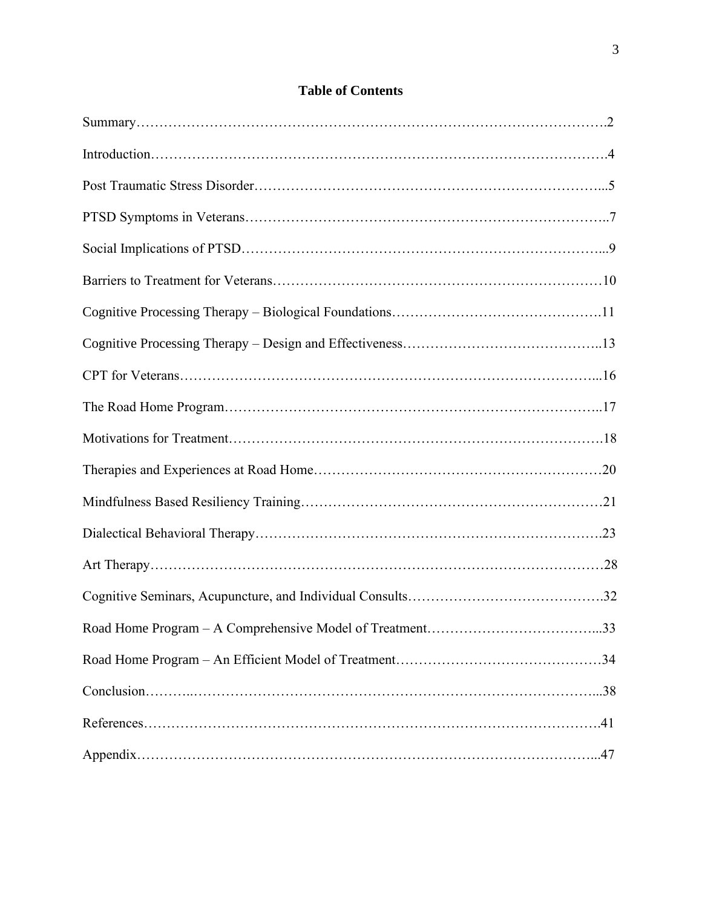# **Table of Contents**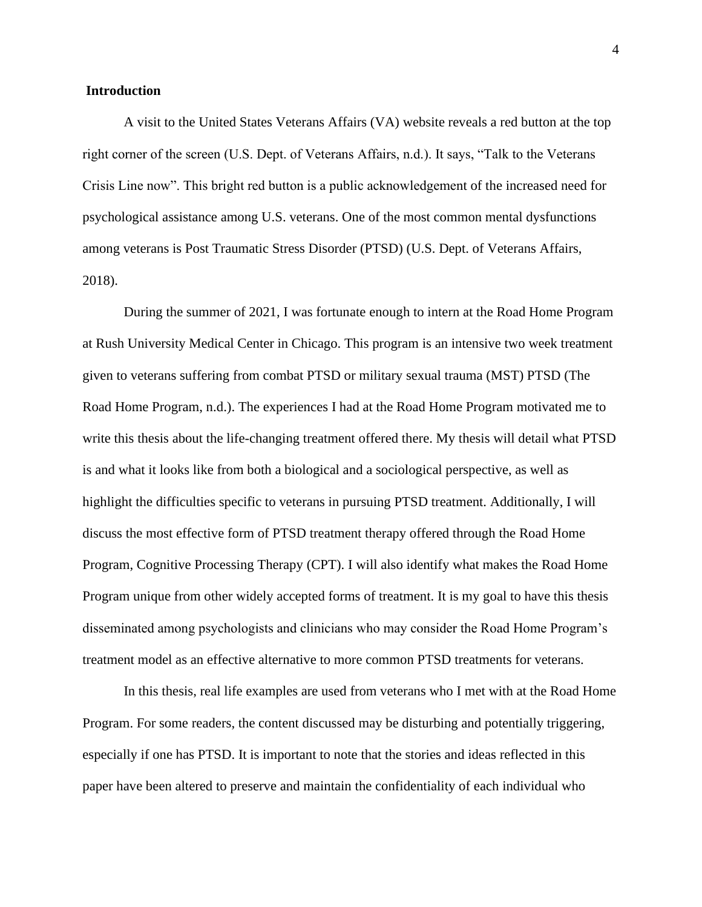#### **Introduction**

A visit to the United States Veterans Affairs (VA) website reveals a red button at the top right corner of the screen (U.S. Dept. of Veterans Affairs, n.d.). It says, "Talk to the Veterans Crisis Line now". This bright red button is a public acknowledgement of the increased need for psychological assistance among U.S. veterans. One of the most common mental dysfunctions among veterans is Post Traumatic Stress Disorder (PTSD) (U.S. Dept. of Veterans Affairs, 2018).

During the summer of 2021, I was fortunate enough to intern at the Road Home Program at Rush University Medical Center in Chicago. This program is an intensive two week treatment given to veterans suffering from combat PTSD or military sexual trauma (MST) PTSD (The Road Home Program, n.d.). The experiences I had at the Road Home Program motivated me to write this thesis about the life-changing treatment offered there. My thesis will detail what PTSD is and what it looks like from both a biological and a sociological perspective, as well as highlight the difficulties specific to veterans in pursuing PTSD treatment. Additionally, I will discuss the most effective form of PTSD treatment therapy offered through the Road Home Program, Cognitive Processing Therapy (CPT). I will also identify what makes the Road Home Program unique from other widely accepted forms of treatment. It is my goal to have this thesis disseminated among psychologists and clinicians who may consider the Road Home Program's treatment model as an effective alternative to more common PTSD treatments for veterans.

In this thesis, real life examples are used from veterans who I met with at the Road Home Program. For some readers, the content discussed may be disturbing and potentially triggering, especially if one has PTSD. It is important to note that the stories and ideas reflected in this paper have been altered to preserve and maintain the confidentiality of each individual who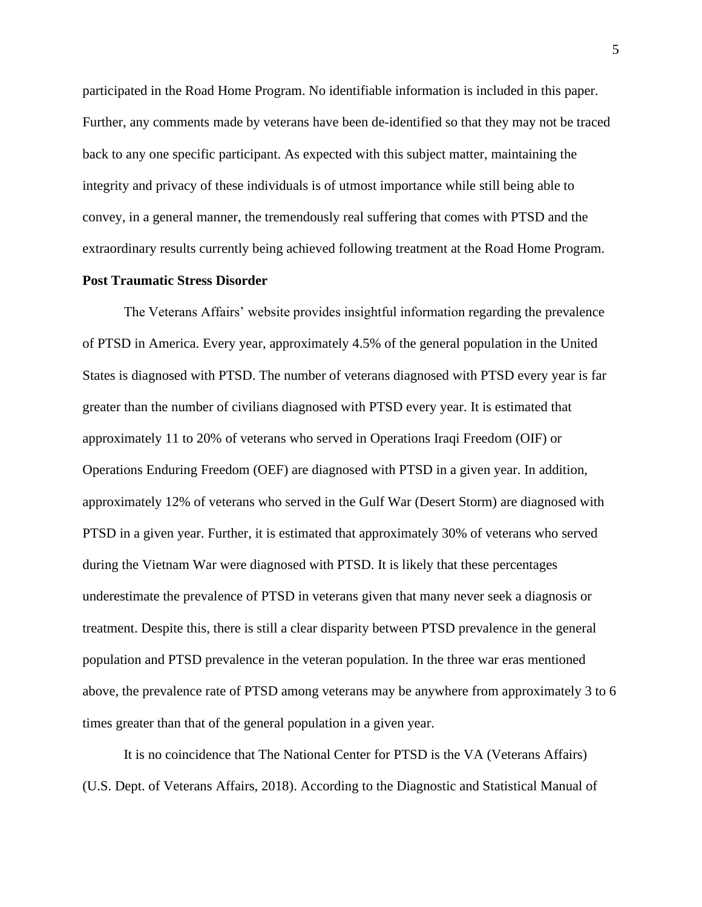participated in the Road Home Program. No identifiable information is included in this paper. Further, any comments made by veterans have been de-identified so that they may not be traced back to any one specific participant. As expected with this subject matter, maintaining the integrity and privacy of these individuals is of utmost importance while still being able to convey, in a general manner, the tremendously real suffering that comes with PTSD and the extraordinary results currently being achieved following treatment at the Road Home Program.

#### **Post Traumatic Stress Disorder**

The Veterans Affairs' website provides insightful information regarding the prevalence of PTSD in America. Every year, approximately 4.5% of the general population in the United States is diagnosed with PTSD. The number of veterans diagnosed with PTSD every year is far greater than the number of civilians diagnosed with PTSD every year. It is estimated that approximately 11 to 20% of veterans who served in Operations Iraqi Freedom (OIF) or Operations Enduring Freedom (OEF) are diagnosed with PTSD in a given year. In addition, approximately 12% of veterans who served in the Gulf War (Desert Storm) are diagnosed with PTSD in a given year. Further, it is estimated that approximately 30% of veterans who served during the Vietnam War were diagnosed with PTSD. It is likely that these percentages underestimate the prevalence of PTSD in veterans given that many never seek a diagnosis or treatment. Despite this, there is still a clear disparity between PTSD prevalence in the general population and PTSD prevalence in the veteran population. In the three war eras mentioned above, the prevalence rate of PTSD among veterans may be anywhere from approximately 3 to 6 times greater than that of the general population in a given year.

It is no coincidence that The National Center for PTSD is the VA (Veterans Affairs) (U.S. Dept. of Veterans Affairs, 2018). According to the Diagnostic and Statistical Manual of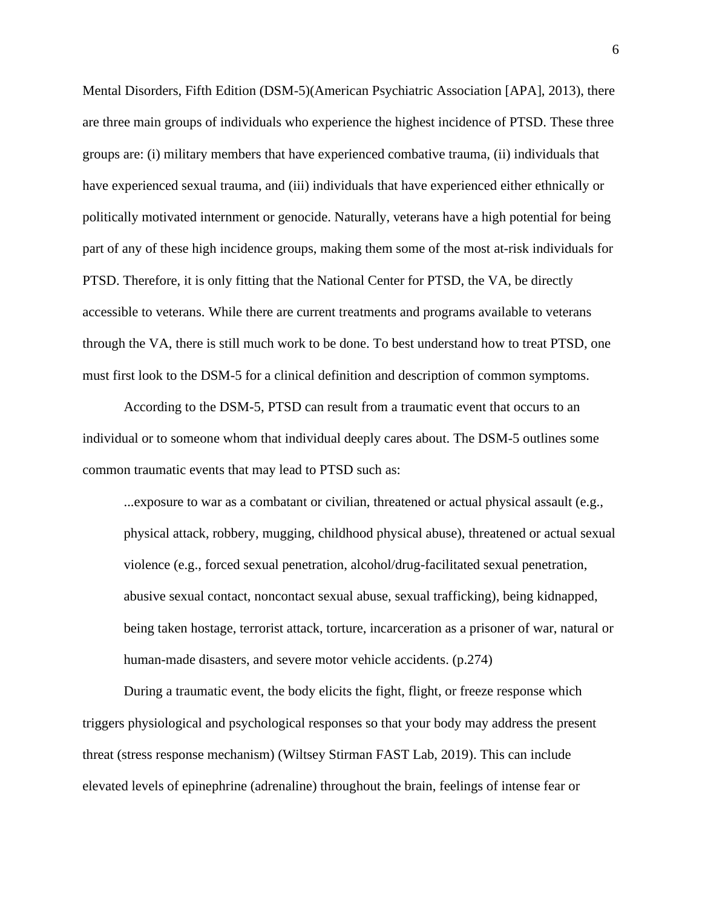Mental Disorders, Fifth Edition (DSM-5)(American Psychiatric Association [APA], 2013), there are three main groups of individuals who experience the highest incidence of PTSD. These three groups are: (i) military members that have experienced combative trauma, (ii) individuals that have experienced sexual trauma, and (iii) individuals that have experienced either ethnically or politically motivated internment or genocide. Naturally, veterans have a high potential for being part of any of these high incidence groups, making them some of the most at-risk individuals for PTSD. Therefore, it is only fitting that the National Center for PTSD, the VA, be directly accessible to veterans. While there are current treatments and programs available to veterans through the VA, there is still much work to be done. To best understand how to treat PTSD, one must first look to the DSM-5 for a clinical definition and description of common symptoms.

According to the DSM-5, PTSD can result from a traumatic event that occurs to an individual or to someone whom that individual deeply cares about. The DSM-5 outlines some common traumatic events that may lead to PTSD such as:

...exposure to war as a combatant or civilian, threatened or actual physical assault (e.g., physical attack, robbery, mugging, childhood physical abuse), threatened or actual sexual violence (e.g., forced sexual penetration, alcohol/drug-facilitated sexual penetration, abusive sexual contact, noncontact sexual abuse, sexual trafficking), being kidnapped, being taken hostage, terrorist attack, torture, incarceration as a prisoner of war, natural or human-made disasters, and severe motor vehicle accidents. (p.274)

During a traumatic event, the body elicits the fight, flight, or freeze response which triggers physiological and psychological responses so that your body may address the present threat (stress response mechanism) (Wiltsey Stirman FAST Lab, 2019). This can include elevated levels of epinephrine (adrenaline) throughout the brain, feelings of intense fear or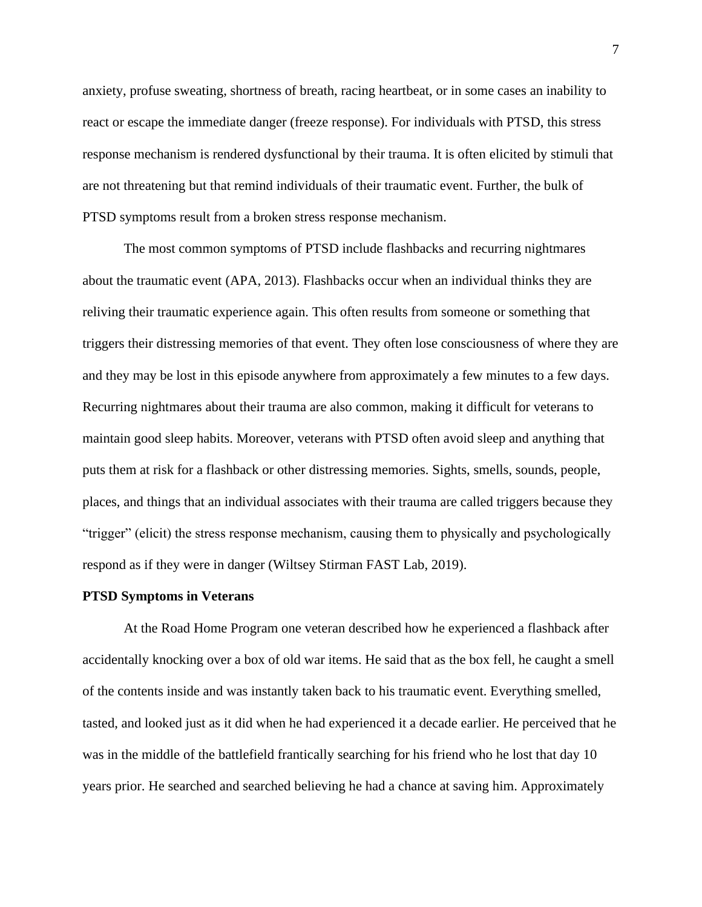anxiety, profuse sweating, shortness of breath, racing heartbeat, or in some cases an inability to react or escape the immediate danger (freeze response). For individuals with PTSD, this stress response mechanism is rendered dysfunctional by their trauma. It is often elicited by stimuli that are not threatening but that remind individuals of their traumatic event. Further, the bulk of PTSD symptoms result from a broken stress response mechanism.

The most common symptoms of PTSD include flashbacks and recurring nightmares about the traumatic event (APA, 2013). Flashbacks occur when an individual thinks they are reliving their traumatic experience again. This often results from someone or something that triggers their distressing memories of that event. They often lose consciousness of where they are and they may be lost in this episode anywhere from approximately a few minutes to a few days. Recurring nightmares about their trauma are also common, making it difficult for veterans to maintain good sleep habits. Moreover, veterans with PTSD often avoid sleep and anything that puts them at risk for a flashback or other distressing memories. Sights, smells, sounds, people, places, and things that an individual associates with their trauma are called triggers because they "trigger" (elicit) the stress response mechanism, causing them to physically and psychologically respond as if they were in danger (Wiltsey Stirman FAST Lab, 2019).

#### **PTSD Symptoms in Veterans**

At the Road Home Program one veteran described how he experienced a flashback after accidentally knocking over a box of old war items. He said that as the box fell, he caught a smell of the contents inside and was instantly taken back to his traumatic event. Everything smelled, tasted, and looked just as it did when he had experienced it a decade earlier. He perceived that he was in the middle of the battlefield frantically searching for his friend who he lost that day 10 years prior. He searched and searched believing he had a chance at saving him. Approximately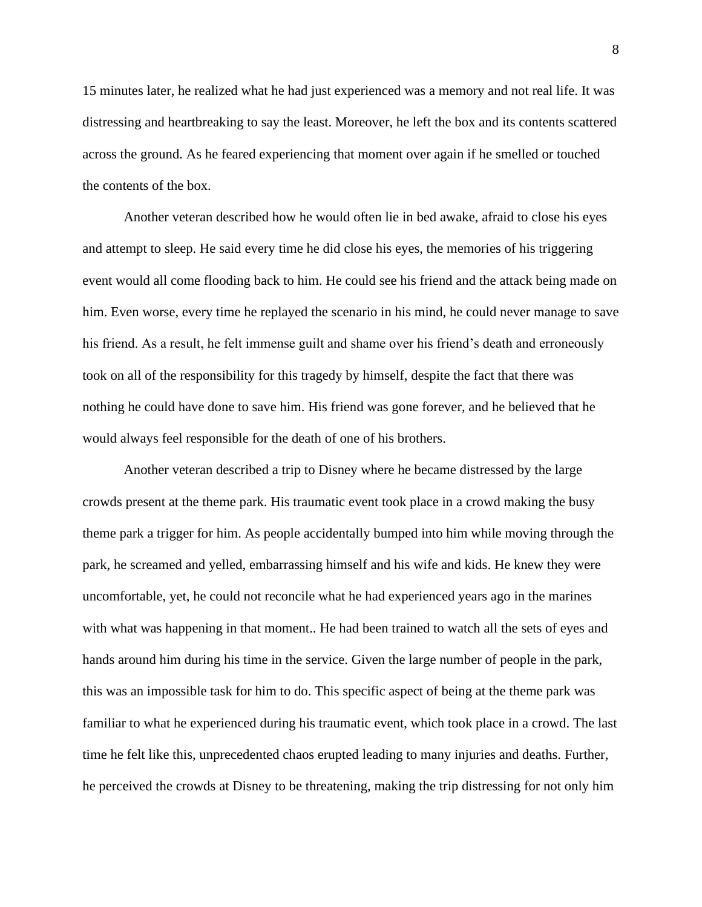15 minutes later, he realized what he had just experienced was a memory and not real life. It was distressing and heartbreaking to say the least. Moreover, he left the box and its contents scattered across the ground. As he feared experiencing that moment over again if he smelled or touched the contents of the box.

Another veteran described how he would often lie in bed awake, afraid to close his eyes and attempt to sleep. He said every time he did close his eyes, the memories of his triggering event would all come flooding back to him. He could see his friend and the attack being made on him. Even worse, every time he replayed the scenario in his mind, he could never manage to save his friend. As a result, he felt immense guilt and shame over his friend's death and erroneously took on all of the responsibility for this tragedy by himself, despite the fact that there was nothing he could have done to save him. His friend was gone forever, and he believed that he would always feel responsible for the death of one of his brothers.

Another veteran described a trip to Disney where he became distressed by the large crowds present at the theme park. His traumatic event took place in a crowd making the busy theme park a trigger for him. As people accidentally bumped into him while moving through the park, he screamed and yelled, embarrassing himself and his wife and kids. He knew they were uncomfortable, yet, he could not reconcile what he had experienced years ago in the marines with what was happening in that moment.. He had been trained to watch all the sets of eyes and hands around him during his time in the service. Given the large number of people in the park, this was an impossible task for him to do. This specific aspect of being at the theme park was familiar to what he experienced during his traumatic event, which took place in a crowd. The last time he felt like this, unprecedented chaos erupted leading to many injuries and deaths. Further, he perceived the crowds at Disney to be threatening, making the trip distressing for not only him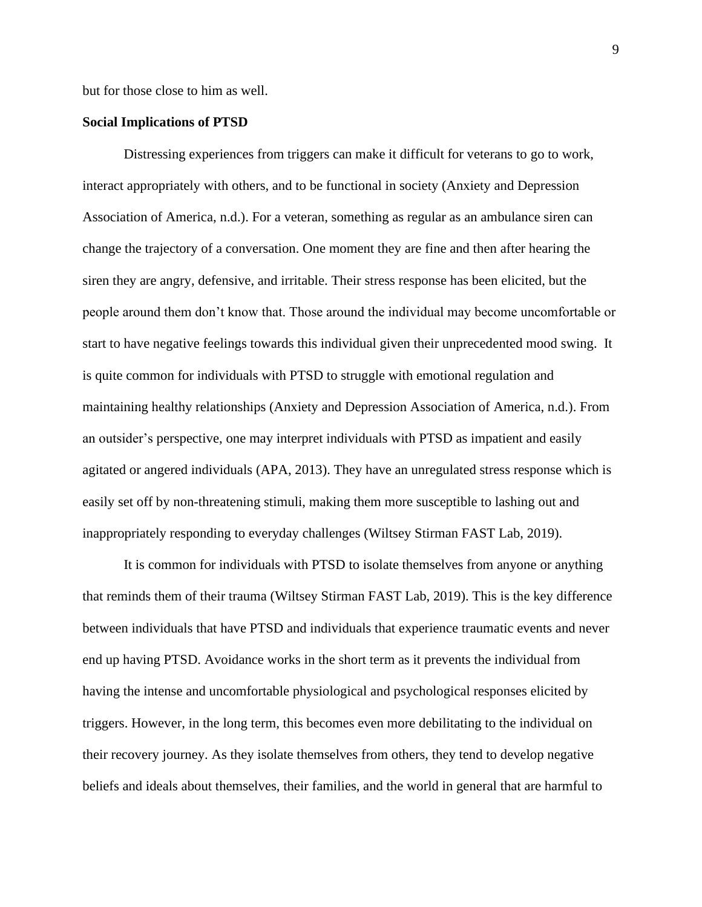but for those close to him as well.

#### **Social Implications of PTSD**

Distressing experiences from triggers can make it difficult for veterans to go to work, interact appropriately with others, and to be functional in society (Anxiety and Depression Association of America, n.d.). For a veteran, something as regular as an ambulance siren can change the trajectory of a conversation. One moment they are fine and then after hearing the siren they are angry, defensive, and irritable. Their stress response has been elicited, but the people around them don't know that. Those around the individual may become uncomfortable or start to have negative feelings towards this individual given their unprecedented mood swing. It is quite common for individuals with PTSD to struggle with emotional regulation and maintaining healthy relationships (Anxiety and Depression Association of America, n.d.). From an outsider's perspective, one may interpret individuals with PTSD as impatient and easily agitated or angered individuals (APA, 2013). They have an unregulated stress response which is easily set off by non-threatening stimuli, making them more susceptible to lashing out and inappropriately responding to everyday challenges (Wiltsey Stirman FAST Lab, 2019).

It is common for individuals with PTSD to isolate themselves from anyone or anything that reminds them of their trauma (Wiltsey Stirman FAST Lab, 2019). This is the key difference between individuals that have PTSD and individuals that experience traumatic events and never end up having PTSD. Avoidance works in the short term as it prevents the individual from having the intense and uncomfortable physiological and psychological responses elicited by triggers. However, in the long term, this becomes even more debilitating to the individual on their recovery journey. As they isolate themselves from others, they tend to develop negative beliefs and ideals about themselves, their families, and the world in general that are harmful to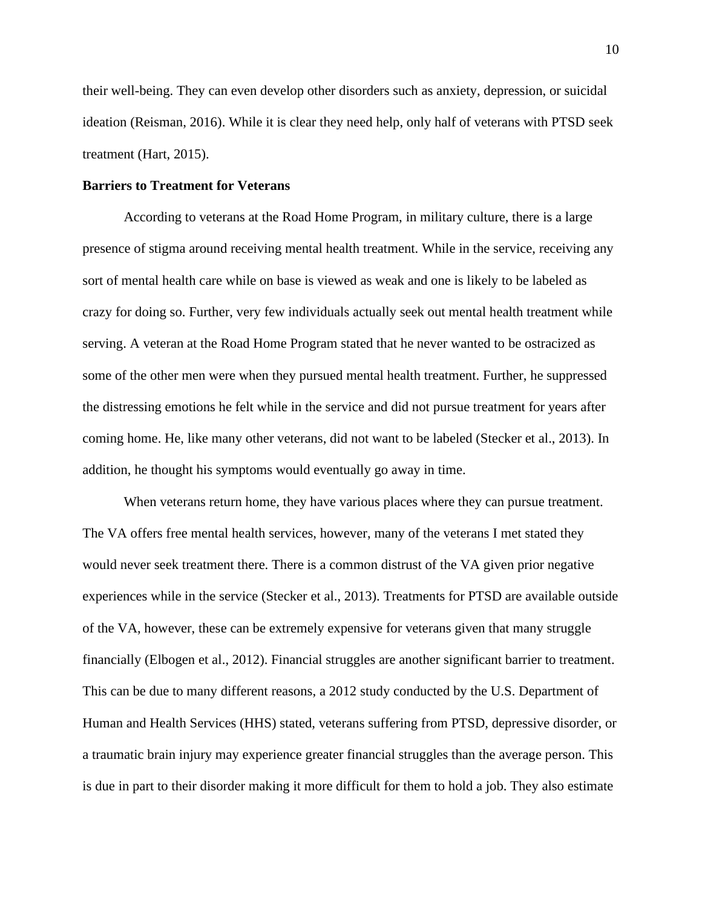their well-being. They can even develop other disorders such as anxiety, depression, or suicidal ideation (Reisman, 2016). While it is clear they need help, only half of veterans with PTSD seek treatment (Hart, 2015).

#### **Barriers to Treatment for Veterans**

According to veterans at the Road Home Program, in military culture, there is a large presence of stigma around receiving mental health treatment. While in the service, receiving any sort of mental health care while on base is viewed as weak and one is likely to be labeled as crazy for doing so. Further, very few individuals actually seek out mental health treatment while serving. A veteran at the Road Home Program stated that he never wanted to be ostracized as some of the other men were when they pursued mental health treatment. Further, he suppressed the distressing emotions he felt while in the service and did not pursue treatment for years after coming home. He, like many other veterans, did not want to be labeled (Stecker et al., 2013). In addition, he thought his symptoms would eventually go away in time.

When veterans return home, they have various places where they can pursue treatment. The VA offers free mental health services, however, many of the veterans I met stated they would never seek treatment there. There is a common distrust of the VA given prior negative experiences while in the service (Stecker et al., 2013). Treatments for PTSD are available outside of the VA, however, these can be extremely expensive for veterans given that many struggle financially (Elbogen et al., 2012). Financial struggles are another significant barrier to treatment. This can be due to many different reasons, a 2012 study conducted by the U.S. Department of Human and Health Services (HHS) stated, veterans suffering from PTSD, depressive disorder, or a traumatic brain injury may experience greater financial struggles than the average person. This is due in part to their disorder making it more difficult for them to hold a job. They also estimate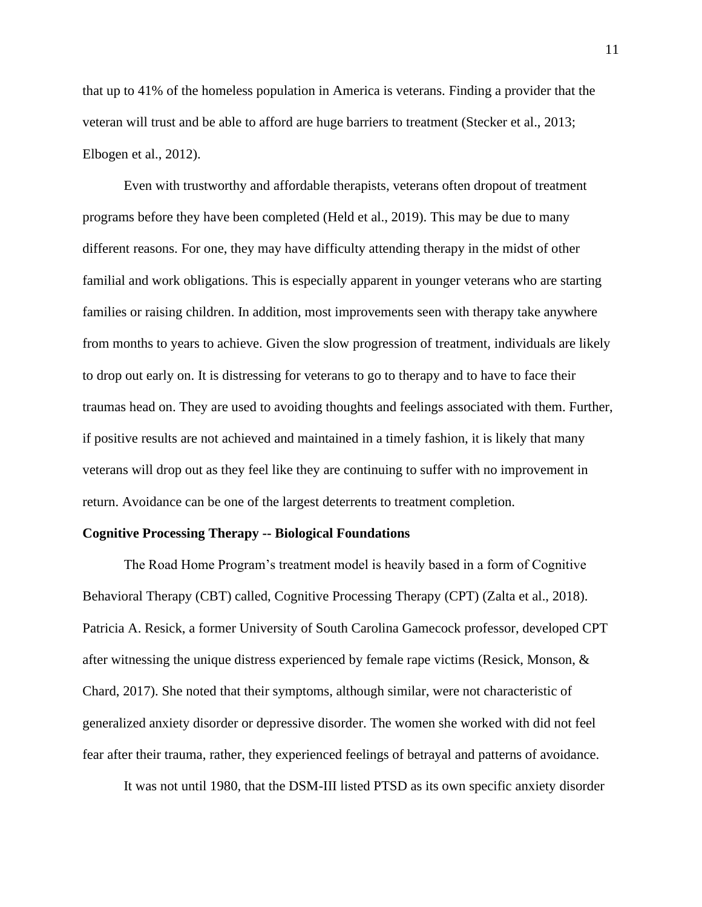that up to 41% of the homeless population in America is veterans. Finding a provider that the veteran will trust and be able to afford are huge barriers to treatment (Stecker et al., 2013; Elbogen et al., 2012).

Even with trustworthy and affordable therapists, veterans often dropout of treatment programs before they have been completed (Held et al., 2019). This may be due to many different reasons. For one, they may have difficulty attending therapy in the midst of other familial and work obligations. This is especially apparent in younger veterans who are starting families or raising children. In addition, most improvements seen with therapy take anywhere from months to years to achieve. Given the slow progression of treatment, individuals are likely to drop out early on. It is distressing for veterans to go to therapy and to have to face their traumas head on. They are used to avoiding thoughts and feelings associated with them. Further, if positive results are not achieved and maintained in a timely fashion, it is likely that many veterans will drop out as they feel like they are continuing to suffer with no improvement in return. Avoidance can be one of the largest deterrents to treatment completion.

#### **Cognitive Processing Therapy -- Biological Foundations**

The Road Home Program's treatment model is heavily based in a form of Cognitive Behavioral Therapy (CBT) called, Cognitive Processing Therapy (CPT) (Zalta et al., 2018). Patricia A. Resick, a former University of South Carolina Gamecock professor, developed CPT after witnessing the unique distress experienced by female rape victims (Resick, Monson, & Chard, 2017). She noted that their symptoms, although similar, were not characteristic of generalized anxiety disorder or depressive disorder. The women she worked with did not feel fear after their trauma, rather, they experienced feelings of betrayal and patterns of avoidance.

It was not until 1980, that the DSM-III listed PTSD as its own specific anxiety disorder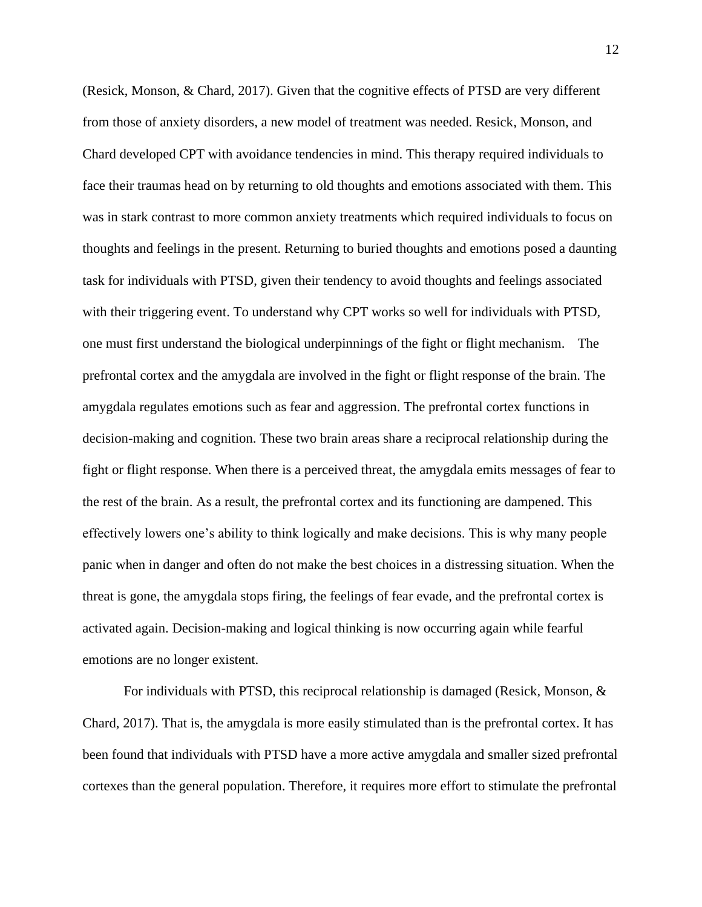(Resick, Monson, & Chard, 2017). Given that the cognitive effects of PTSD are very different from those of anxiety disorders, a new model of treatment was needed. Resick, Monson, and Chard developed CPT with avoidance tendencies in mind. This therapy required individuals to face their traumas head on by returning to old thoughts and emotions associated with them. This was in stark contrast to more common anxiety treatments which required individuals to focus on thoughts and feelings in the present. Returning to buried thoughts and emotions posed a daunting task for individuals with PTSD, given their tendency to avoid thoughts and feelings associated with their triggering event. To understand why CPT works so well for individuals with PTSD, one must first understand the biological underpinnings of the fight or flight mechanism. The prefrontal cortex and the amygdala are involved in the fight or flight response of the brain. The amygdala regulates emotions such as fear and aggression. The prefrontal cortex functions in decision-making and cognition. These two brain areas share a reciprocal relationship during the fight or flight response. When there is a perceived threat, the amygdala emits messages of fear to the rest of the brain. As a result, the prefrontal cortex and its functioning are dampened. This effectively lowers one's ability to think logically and make decisions. This is why many people panic when in danger and often do not make the best choices in a distressing situation. When the threat is gone, the amygdala stops firing, the feelings of fear evade, and the prefrontal cortex is activated again. Decision-making and logical thinking is now occurring again while fearful emotions are no longer existent.

For individuals with PTSD, this reciprocal relationship is damaged (Resick, Monson, & Chard, 2017). That is, the amygdala is more easily stimulated than is the prefrontal cortex. It has been found that individuals with PTSD have a more active amygdala and smaller sized prefrontal cortexes than the general population. Therefore, it requires more effort to stimulate the prefrontal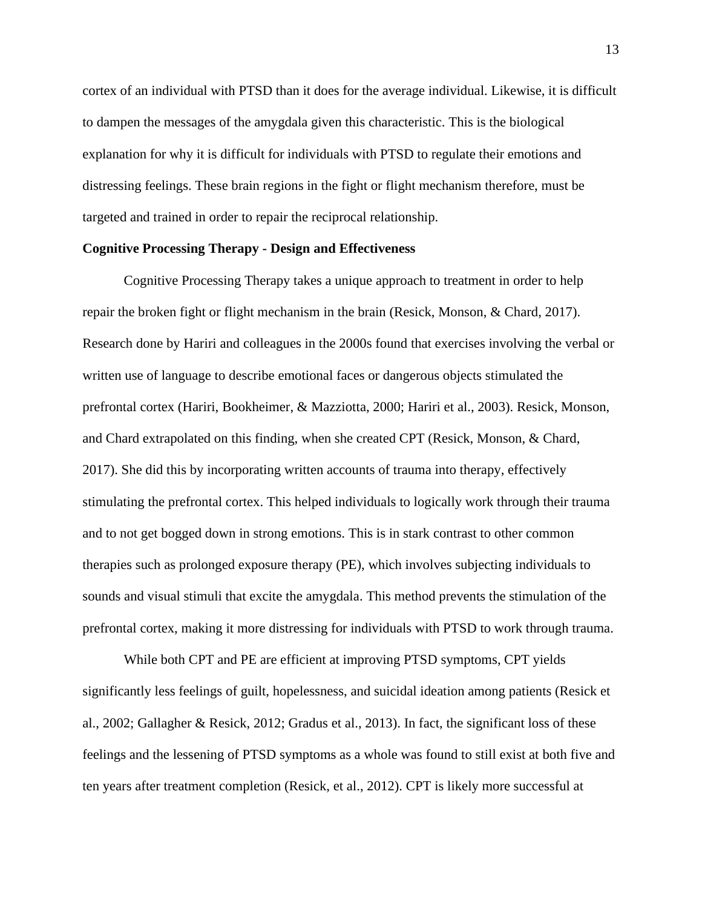cortex of an individual with PTSD than it does for the average individual. Likewise, it is difficult to dampen the messages of the amygdala given this characteristic. This is the biological explanation for why it is difficult for individuals with PTSD to regulate their emotions and distressing feelings. These brain regions in the fight or flight mechanism therefore, must be targeted and trained in order to repair the reciprocal relationship.

#### **Cognitive Processing Therapy - Design and Effectiveness**

Cognitive Processing Therapy takes a unique approach to treatment in order to help repair the broken fight or flight mechanism in the brain (Resick, Monson, & Chard, 2017). Research done by Hariri and colleagues in the 2000s found that exercises involving the verbal or written use of language to describe emotional faces or dangerous objects stimulated the prefrontal cortex (Hariri, Bookheimer, & Mazziotta, 2000; Hariri et al., 2003). Resick, Monson, and Chard extrapolated on this finding, when she created CPT (Resick, Monson, & Chard, 2017). She did this by incorporating written accounts of trauma into therapy, effectively stimulating the prefrontal cortex. This helped individuals to logically work through their trauma and to not get bogged down in strong emotions. This is in stark contrast to other common therapies such as prolonged exposure therapy (PE), which involves subjecting individuals to sounds and visual stimuli that excite the amygdala. This method prevents the stimulation of the prefrontal cortex, making it more distressing for individuals with PTSD to work through trauma.

While both CPT and PE are efficient at improving PTSD symptoms, CPT yields significantly less feelings of guilt, hopelessness, and suicidal ideation among patients (Resick et al., 2002; Gallagher & Resick, 2012; Gradus et al., 2013). In fact, the significant loss of these feelings and the lessening of PTSD symptoms as a whole was found to still exist at both five and ten years after treatment completion (Resick, et al., 2012). CPT is likely more successful at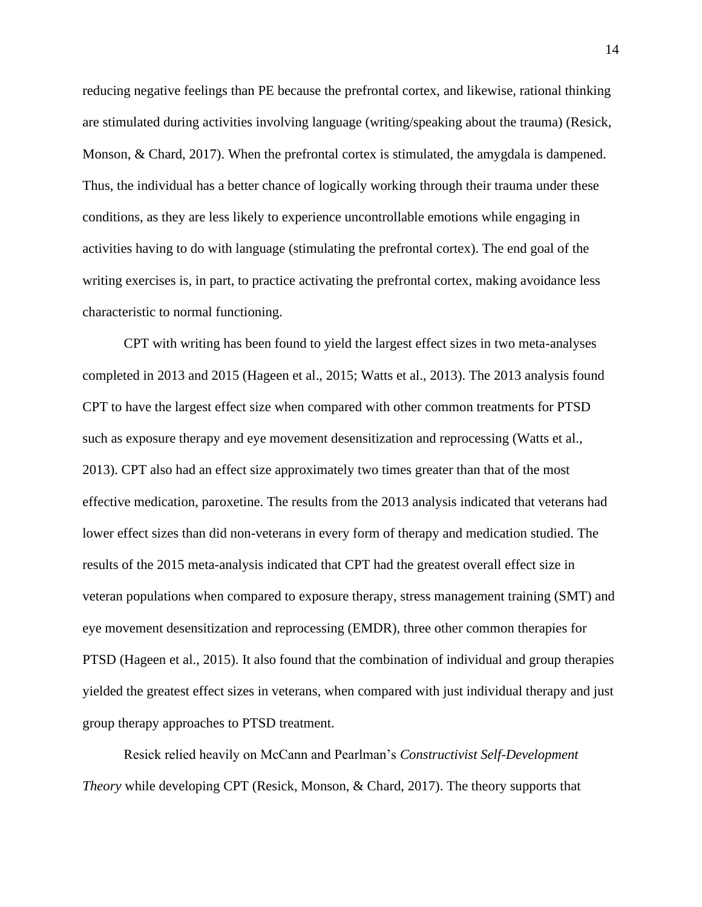reducing negative feelings than PE because the prefrontal cortex, and likewise, rational thinking are stimulated during activities involving language (writing/speaking about the trauma) (Resick, Monson, & Chard, 2017). When the prefrontal cortex is stimulated, the amygdala is dampened. Thus, the individual has a better chance of logically working through their trauma under these conditions, as they are less likely to experience uncontrollable emotions while engaging in activities having to do with language (stimulating the prefrontal cortex). The end goal of the writing exercises is, in part, to practice activating the prefrontal cortex, making avoidance less characteristic to normal functioning.

CPT with writing has been found to yield the largest effect sizes in two meta-analyses completed in 2013 and 2015 (Hageen et al., 2015; Watts et al., 2013). The 2013 analysis found CPT to have the largest effect size when compared with other common treatments for PTSD such as exposure therapy and eye movement desensitization and reprocessing (Watts et al., 2013). CPT also had an effect size approximately two times greater than that of the most effective medication, paroxetine. The results from the 2013 analysis indicated that veterans had lower effect sizes than did non-veterans in every form of therapy and medication studied. The results of the 2015 meta-analysis indicated that CPT had the greatest overall effect size in veteran populations when compared to exposure therapy, stress management training (SMT) and eye movement desensitization and reprocessing (EMDR), three other common therapies for PTSD (Hageen et al., 2015). It also found that the combination of individual and group therapies yielded the greatest effect sizes in veterans, when compared with just individual therapy and just group therapy approaches to PTSD treatment.

Resick relied heavily on McCann and Pearlman's *Constructivist Self-Development Theory* while developing CPT (Resick, Monson, & Chard, 2017). The theory supports that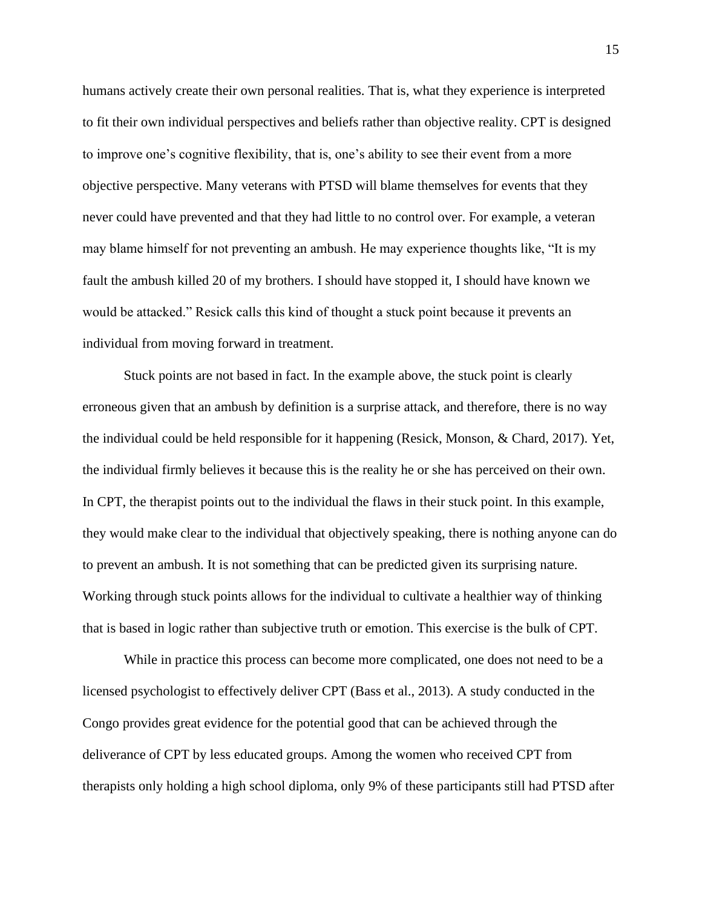humans actively create their own personal realities. That is, what they experience is interpreted to fit their own individual perspectives and beliefs rather than objective reality. CPT is designed to improve one's cognitive flexibility, that is, one's ability to see their event from a more objective perspective. Many veterans with PTSD will blame themselves for events that they never could have prevented and that they had little to no control over. For example, a veteran may blame himself for not preventing an ambush. He may experience thoughts like, "It is my fault the ambush killed 20 of my brothers. I should have stopped it, I should have known we would be attacked." Resick calls this kind of thought a stuck point because it prevents an individual from moving forward in treatment.

Stuck points are not based in fact. In the example above, the stuck point is clearly erroneous given that an ambush by definition is a surprise attack, and therefore, there is no way the individual could be held responsible for it happening (Resick, Monson, & Chard, 2017). Yet, the individual firmly believes it because this is the reality he or she has perceived on their own. In CPT, the therapist points out to the individual the flaws in their stuck point. In this example, they would make clear to the individual that objectively speaking, there is nothing anyone can do to prevent an ambush. It is not something that can be predicted given its surprising nature. Working through stuck points allows for the individual to cultivate a healthier way of thinking that is based in logic rather than subjective truth or emotion. This exercise is the bulk of CPT.

While in practice this process can become more complicated, one does not need to be a licensed psychologist to effectively deliver CPT (Bass et al., 2013). A study conducted in the Congo provides great evidence for the potential good that can be achieved through the deliverance of CPT by less educated groups. Among the women who received CPT from therapists only holding a high school diploma, only 9% of these participants still had PTSD after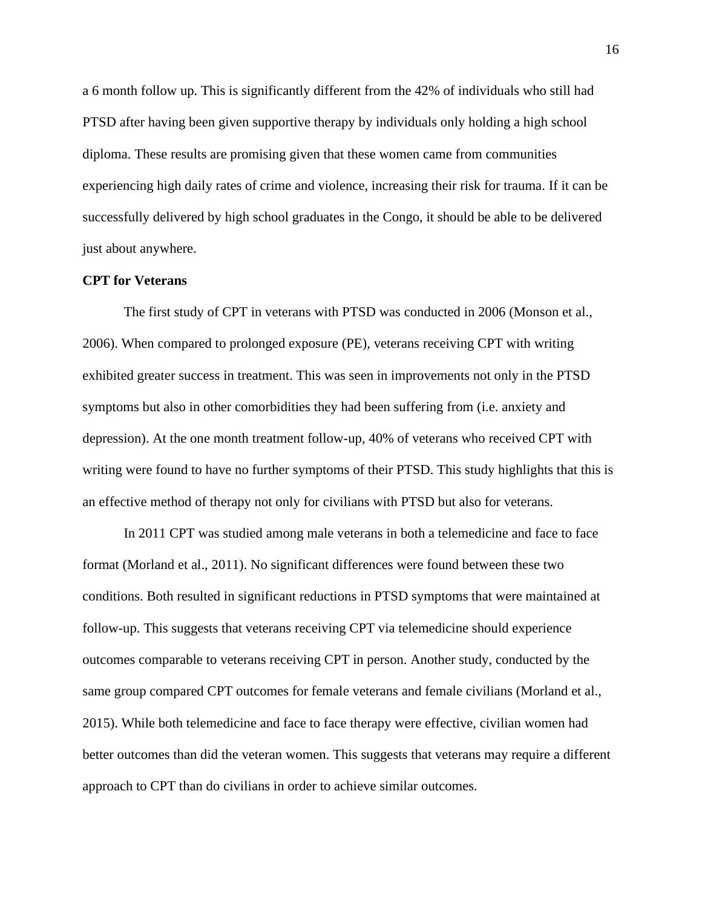a 6 month follow up. This is significantly different from the 42% of individuals who still had PTSD after having been given supportive therapy by individuals only holding a high school diploma. These results are promising given that these women came from communities experiencing high daily rates of crime and violence, increasing their risk for trauma. If it can be successfully delivered by high school graduates in the Congo, it should be able to be delivered just about anywhere.

## **CPT for Veterans**

The first study of CPT in veterans with PTSD was conducted in 2006 (Monson et al., 2006). When compared to prolonged exposure (PE), veterans receiving CPT with writing exhibited greater success in treatment. This was seen in improvements not only in the PTSD symptoms but also in other comorbidities they had been suffering from (i.e. anxiety and depression). At the one month treatment follow-up, 40% of veterans who received CPT with writing were found to have no further symptoms of their PTSD. This study highlights that this is an effective method of therapy not only for civilians with PTSD but also for veterans.

In 2011 CPT was studied among male veterans in both a telemedicine and face to face format (Morland et al., 2011). No significant differences were found between these two conditions. Both resulted in significant reductions in PTSD symptoms that were maintained at follow-up. This suggests that veterans receiving CPT via telemedicine should experience outcomes comparable to veterans receiving CPT in person. Another study, conducted by the same group compared CPT outcomes for female veterans and female civilians (Morland et al., 2015). While both telemedicine and face to face therapy were effective, civilian women had better outcomes than did the veteran women. This suggests that veterans may require a different approach to CPT than do civilians in order to achieve similar outcomes.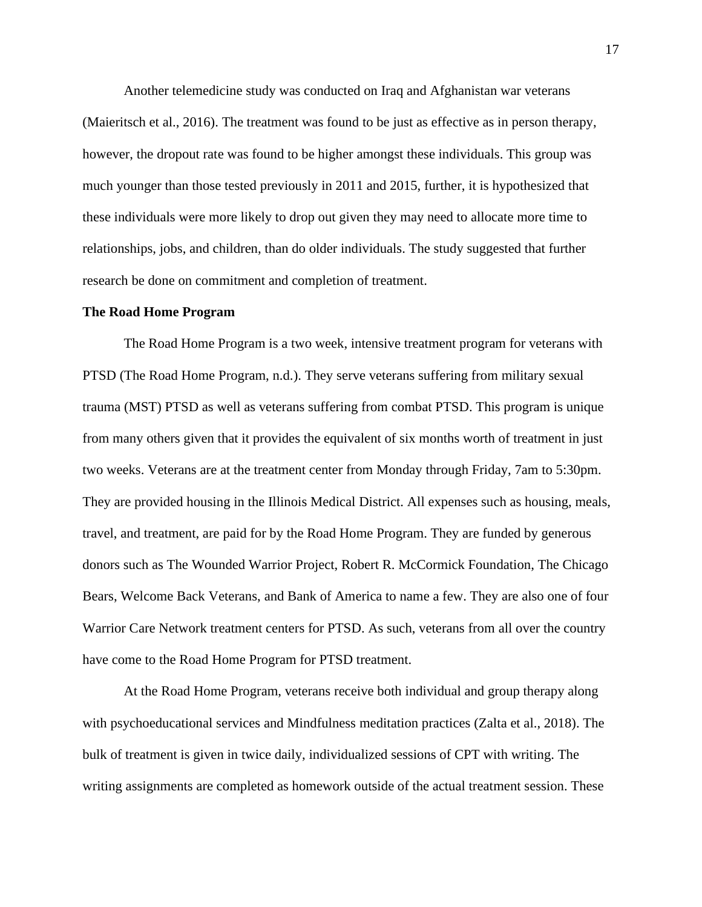Another telemedicine study was conducted on Iraq and Afghanistan war veterans (Maieritsch et al., 2016). The treatment was found to be just as effective as in person therapy, however, the dropout rate was found to be higher amongst these individuals. This group was much younger than those tested previously in 2011 and 2015, further, it is hypothesized that these individuals were more likely to drop out given they may need to allocate more time to relationships, jobs, and children, than do older individuals. The study suggested that further research be done on commitment and completion of treatment.

#### **The Road Home Program**

The Road Home Program is a two week, intensive treatment program for veterans with PTSD (The Road Home Program, n.d.). They serve veterans suffering from military sexual trauma (MST) PTSD as well as veterans suffering from combat PTSD. This program is unique from many others given that it provides the equivalent of six months worth of treatment in just two weeks. Veterans are at the treatment center from Monday through Friday, 7am to 5:30pm. They are provided housing in the Illinois Medical District. All expenses such as housing, meals, travel, and treatment, are paid for by the Road Home Program. They are funded by generous donors such as The Wounded Warrior Project, Robert R. McCormick Foundation, The Chicago Bears, Welcome Back Veterans, and Bank of America to name a few. They are also one of four Warrior Care Network treatment centers for PTSD. As such, veterans from all over the country have come to the Road Home Program for PTSD treatment.

At the Road Home Program, veterans receive both individual and group therapy along with psychoeducational services and Mindfulness meditation practices (Zalta et al., 2018). The bulk of treatment is given in twice daily, individualized sessions of CPT with writing. The writing assignments are completed as homework outside of the actual treatment session. These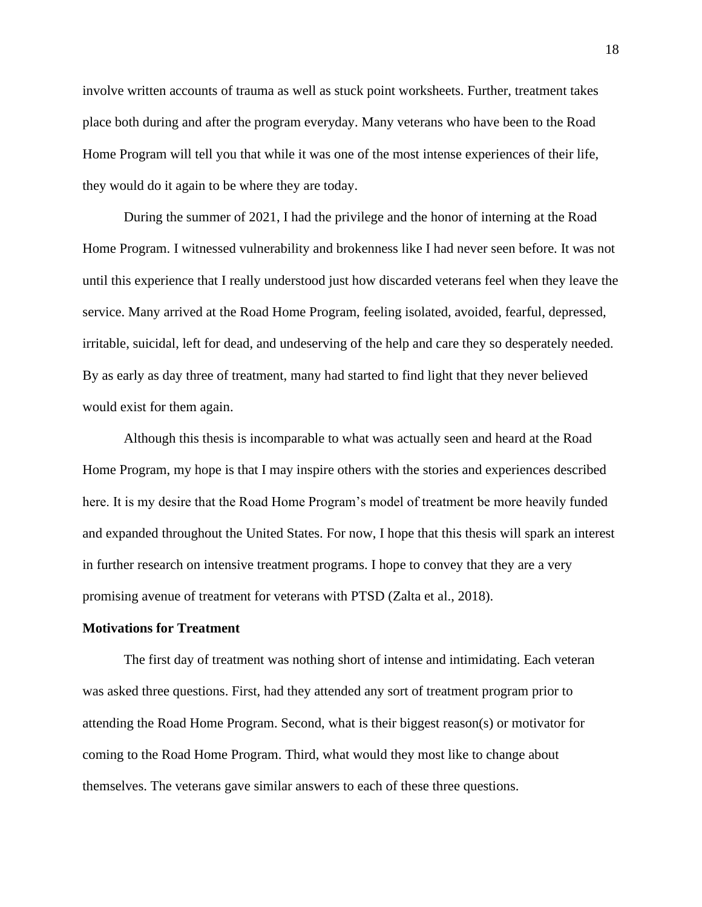involve written accounts of trauma as well as stuck point worksheets. Further, treatment takes place both during and after the program everyday. Many veterans who have been to the Road Home Program will tell you that while it was one of the most intense experiences of their life, they would do it again to be where they are today.

During the summer of 2021, I had the privilege and the honor of interning at the Road Home Program. I witnessed vulnerability and brokenness like I had never seen before. It was not until this experience that I really understood just how discarded veterans feel when they leave the service. Many arrived at the Road Home Program, feeling isolated, avoided, fearful, depressed, irritable, suicidal, left for dead, and undeserving of the help and care they so desperately needed. By as early as day three of treatment, many had started to find light that they never believed would exist for them again.

Although this thesis is incomparable to what was actually seen and heard at the Road Home Program, my hope is that I may inspire others with the stories and experiences described here. It is my desire that the Road Home Program's model of treatment be more heavily funded and expanded throughout the United States. For now, I hope that this thesis will spark an interest in further research on intensive treatment programs. I hope to convey that they are a very promising avenue of treatment for veterans with PTSD (Zalta et al., 2018).

#### **Motivations for Treatment**

The first day of treatment was nothing short of intense and intimidating. Each veteran was asked three questions. First, had they attended any sort of treatment program prior to attending the Road Home Program. Second, what is their biggest reason(s) or motivator for coming to the Road Home Program. Third, what would they most like to change about themselves. The veterans gave similar answers to each of these three questions.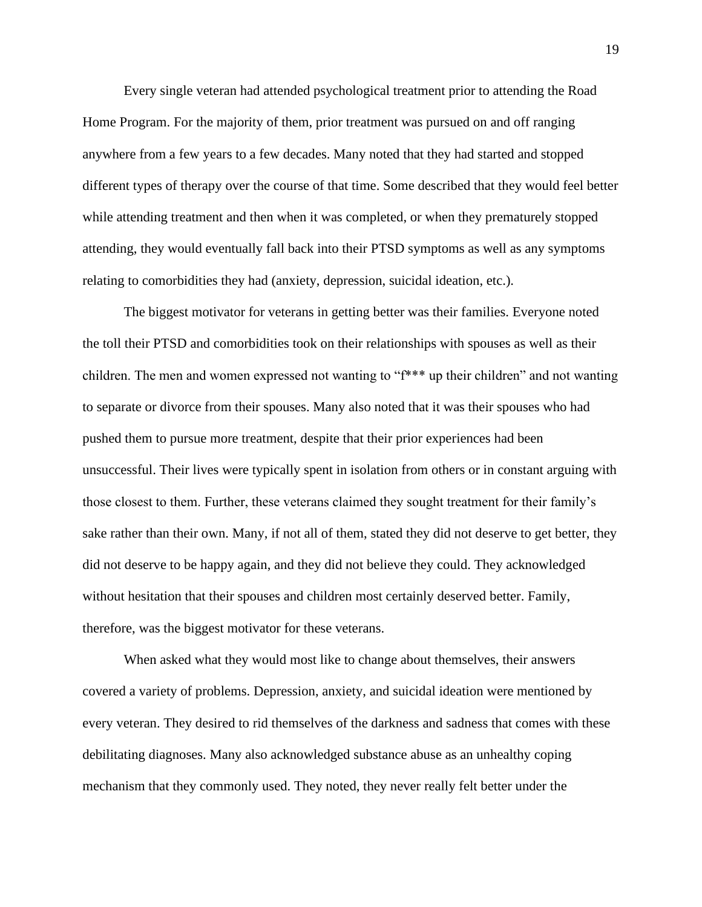Every single veteran had attended psychological treatment prior to attending the Road Home Program. For the majority of them, prior treatment was pursued on and off ranging anywhere from a few years to a few decades. Many noted that they had started and stopped different types of therapy over the course of that time. Some described that they would feel better while attending treatment and then when it was completed, or when they prematurely stopped attending, they would eventually fall back into their PTSD symptoms as well as any symptoms relating to comorbidities they had (anxiety, depression, suicidal ideation, etc.).

The biggest motivator for veterans in getting better was their families. Everyone noted the toll their PTSD and comorbidities took on their relationships with spouses as well as their children. The men and women expressed not wanting to "f\*\*\* up their children" and not wanting to separate or divorce from their spouses. Many also noted that it was their spouses who had pushed them to pursue more treatment, despite that their prior experiences had been unsuccessful. Their lives were typically spent in isolation from others or in constant arguing with those closest to them. Further, these veterans claimed they sought treatment for their family's sake rather than their own. Many, if not all of them, stated they did not deserve to get better, they did not deserve to be happy again, and they did not believe they could. They acknowledged without hesitation that their spouses and children most certainly deserved better. Family, therefore, was the biggest motivator for these veterans.

When asked what they would most like to change about themselves, their answers covered a variety of problems. Depression, anxiety, and suicidal ideation were mentioned by every veteran. They desired to rid themselves of the darkness and sadness that comes with these debilitating diagnoses. Many also acknowledged substance abuse as an unhealthy coping mechanism that they commonly used. They noted, they never really felt better under the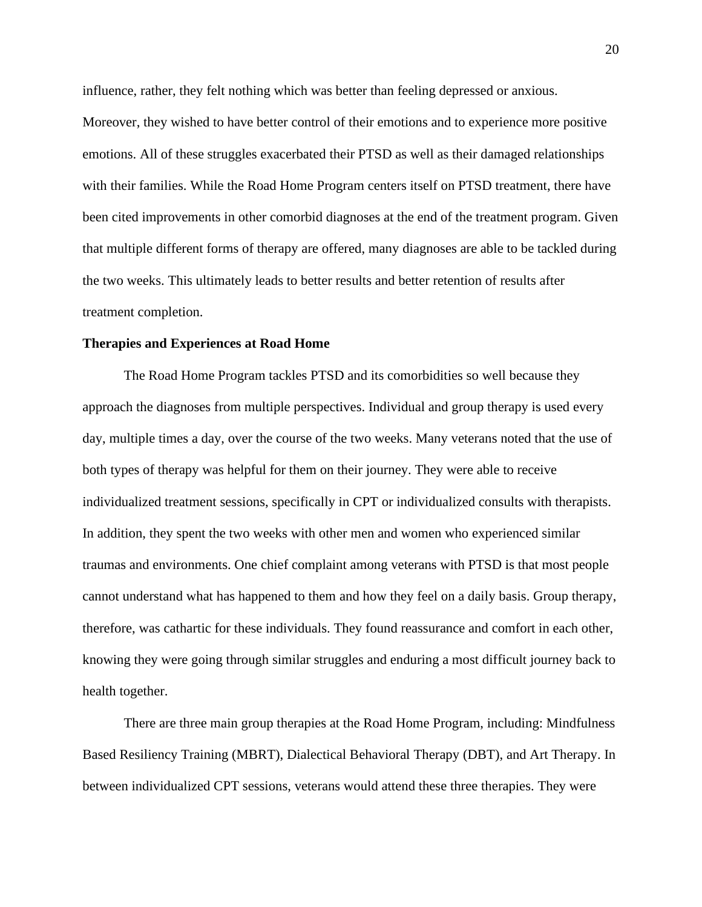influence, rather, they felt nothing which was better than feeling depressed or anxious.

Moreover, they wished to have better control of their emotions and to experience more positive emotions. All of these struggles exacerbated their PTSD as well as their damaged relationships with their families. While the Road Home Program centers itself on PTSD treatment, there have been cited improvements in other comorbid diagnoses at the end of the treatment program. Given that multiple different forms of therapy are offered, many diagnoses are able to be tackled during the two weeks. This ultimately leads to better results and better retention of results after treatment completion.

#### **Therapies and Experiences at Road Home**

The Road Home Program tackles PTSD and its comorbidities so well because they approach the diagnoses from multiple perspectives. Individual and group therapy is used every day, multiple times a day, over the course of the two weeks. Many veterans noted that the use of both types of therapy was helpful for them on their journey. They were able to receive individualized treatment sessions, specifically in CPT or individualized consults with therapists. In addition, they spent the two weeks with other men and women who experienced similar traumas and environments. One chief complaint among veterans with PTSD is that most people cannot understand what has happened to them and how they feel on a daily basis. Group therapy, therefore, was cathartic for these individuals. They found reassurance and comfort in each other, knowing they were going through similar struggles and enduring a most difficult journey back to health together.

There are three main group therapies at the Road Home Program, including: Mindfulness Based Resiliency Training (MBRT), Dialectical Behavioral Therapy (DBT), and Art Therapy. In between individualized CPT sessions, veterans would attend these three therapies. They were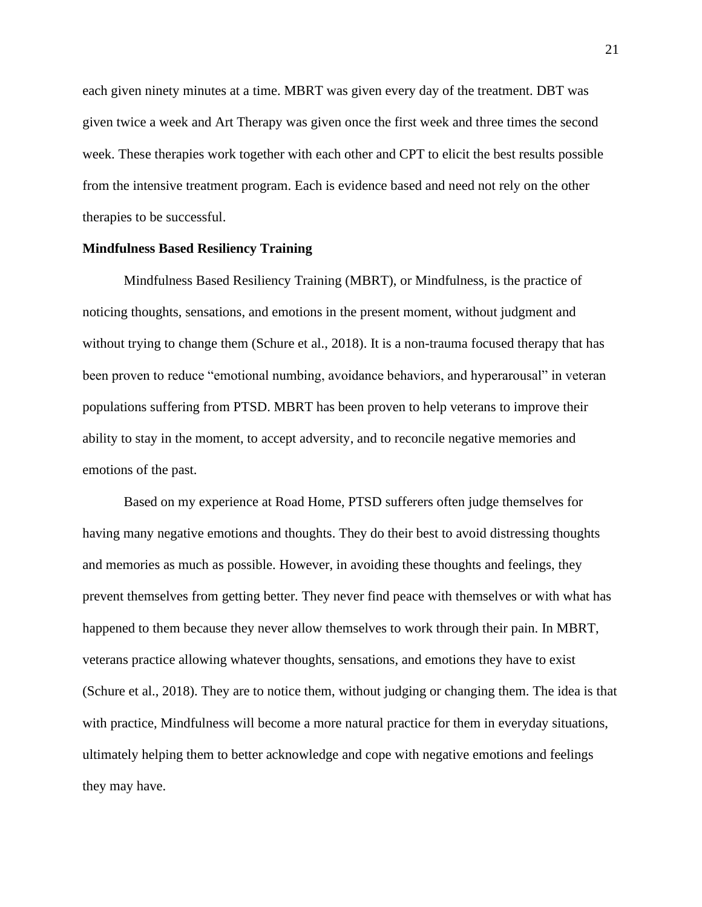each given ninety minutes at a time. MBRT was given every day of the treatment. DBT was given twice a week and Art Therapy was given once the first week and three times the second week. These therapies work together with each other and CPT to elicit the best results possible from the intensive treatment program. Each is evidence based and need not rely on the other therapies to be successful.

#### **Mindfulness Based Resiliency Training**

Mindfulness Based Resiliency Training (MBRT), or Mindfulness, is the practice of noticing thoughts, sensations, and emotions in the present moment, without judgment and without trying to change them (Schure et al., 2018). It is a non-trauma focused therapy that has been proven to reduce "emotional numbing, avoidance behaviors, and hyperarousal" in veteran populations suffering from PTSD. MBRT has been proven to help veterans to improve their ability to stay in the moment, to accept adversity, and to reconcile negative memories and emotions of the past.

Based on my experience at Road Home, PTSD sufferers often judge themselves for having many negative emotions and thoughts. They do their best to avoid distressing thoughts and memories as much as possible. However, in avoiding these thoughts and feelings, they prevent themselves from getting better. They never find peace with themselves or with what has happened to them because they never allow themselves to work through their pain. In MBRT, veterans practice allowing whatever thoughts, sensations, and emotions they have to exist (Schure et al., 2018). They are to notice them, without judging or changing them. The idea is that with practice, Mindfulness will become a more natural practice for them in everyday situations, ultimately helping them to better acknowledge and cope with negative emotions and feelings they may have.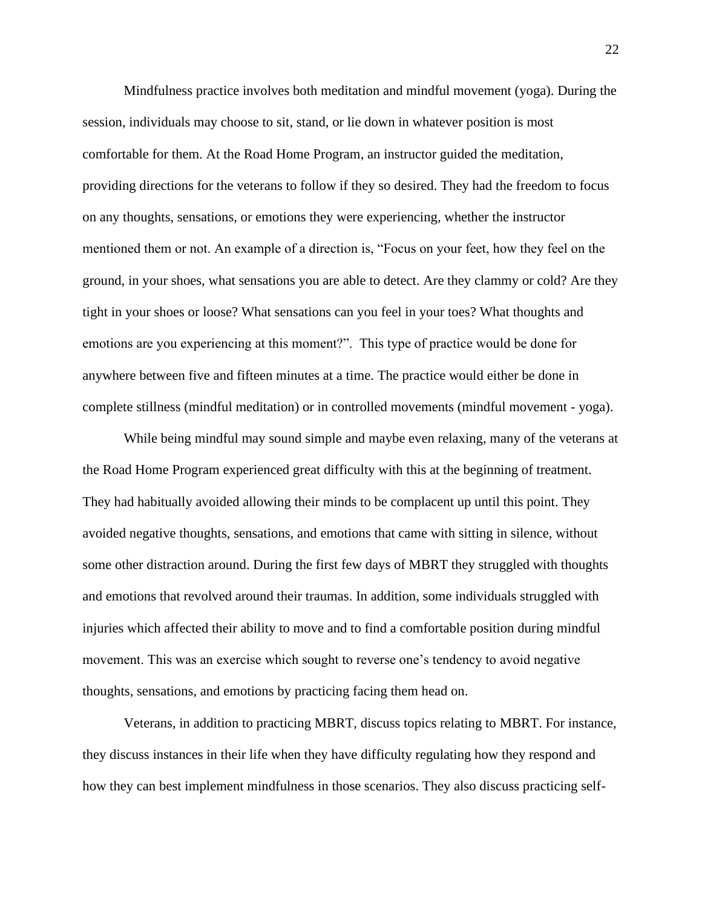Mindfulness practice involves both meditation and mindful movement (yoga). During the session, individuals may choose to sit, stand, or lie down in whatever position is most comfortable for them. At the Road Home Program, an instructor guided the meditation, providing directions for the veterans to follow if they so desired. They had the freedom to focus on any thoughts, sensations, or emotions they were experiencing, whether the instructor mentioned them or not. An example of a direction is, "Focus on your feet, how they feel on the ground, in your shoes, what sensations you are able to detect. Are they clammy or cold? Are they tight in your shoes or loose? What sensations can you feel in your toes? What thoughts and emotions are you experiencing at this moment?". This type of practice would be done for anywhere between five and fifteen minutes at a time. The practice would either be done in complete stillness (mindful meditation) or in controlled movements (mindful movement - yoga).

While being mindful may sound simple and maybe even relaxing, many of the veterans at the Road Home Program experienced great difficulty with this at the beginning of treatment. They had habitually avoided allowing their minds to be complacent up until this point. They avoided negative thoughts, sensations, and emotions that came with sitting in silence, without some other distraction around. During the first few days of MBRT they struggled with thoughts and emotions that revolved around their traumas. In addition, some individuals struggled with injuries which affected their ability to move and to find a comfortable position during mindful movement. This was an exercise which sought to reverse one's tendency to avoid negative thoughts, sensations, and emotions by practicing facing them head on.

Veterans, in addition to practicing MBRT, discuss topics relating to MBRT. For instance, they discuss instances in their life when they have difficulty regulating how they respond and how they can best implement mindfulness in those scenarios. They also discuss practicing self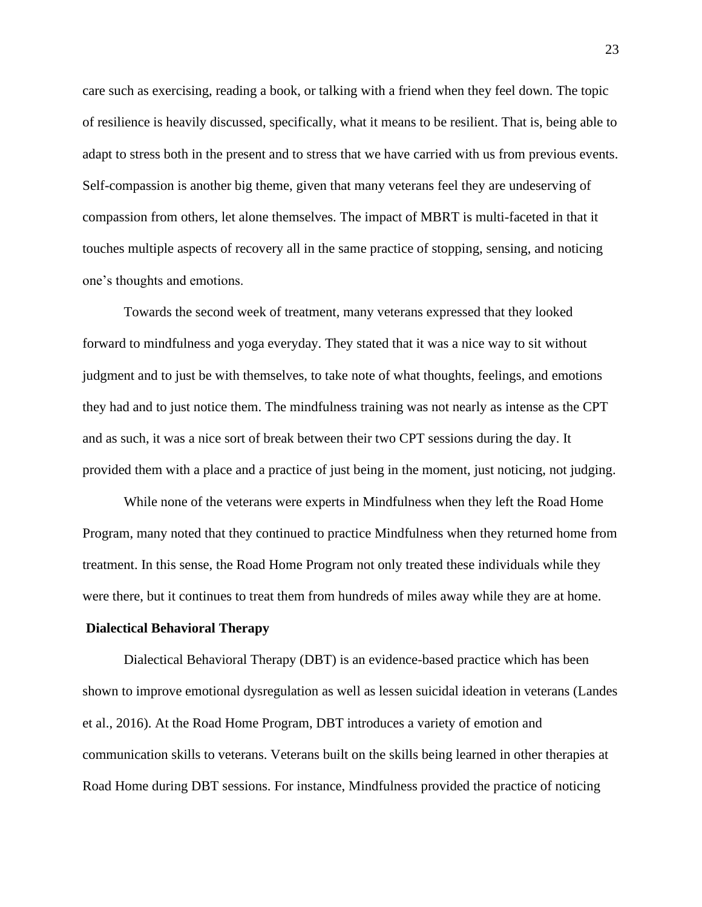care such as exercising, reading a book, or talking with a friend when they feel down. The topic of resilience is heavily discussed, specifically, what it means to be resilient. That is, being able to adapt to stress both in the present and to stress that we have carried with us from previous events. Self-compassion is another big theme, given that many veterans feel they are undeserving of compassion from others, let alone themselves. The impact of MBRT is multi-faceted in that it touches multiple aspects of recovery all in the same practice of stopping, sensing, and noticing one's thoughts and emotions.

Towards the second week of treatment, many veterans expressed that they looked forward to mindfulness and yoga everyday. They stated that it was a nice way to sit without judgment and to just be with themselves, to take note of what thoughts, feelings, and emotions they had and to just notice them. The mindfulness training was not nearly as intense as the CPT and as such, it was a nice sort of break between their two CPT sessions during the day. It provided them with a place and a practice of just being in the moment, just noticing, not judging.

While none of the veterans were experts in Mindfulness when they left the Road Home Program, many noted that they continued to practice Mindfulness when they returned home from treatment. In this sense, the Road Home Program not only treated these individuals while they were there, but it continues to treat them from hundreds of miles away while they are at home.

#### **Dialectical Behavioral Therapy**

Dialectical Behavioral Therapy (DBT) is an evidence-based practice which has been shown to improve emotional dysregulation as well as lessen suicidal ideation in veterans (Landes et al., 2016). At the Road Home Program, DBT introduces a variety of emotion and communication skills to veterans. Veterans built on the skills being learned in other therapies at Road Home during DBT sessions. For instance, Mindfulness provided the practice of noticing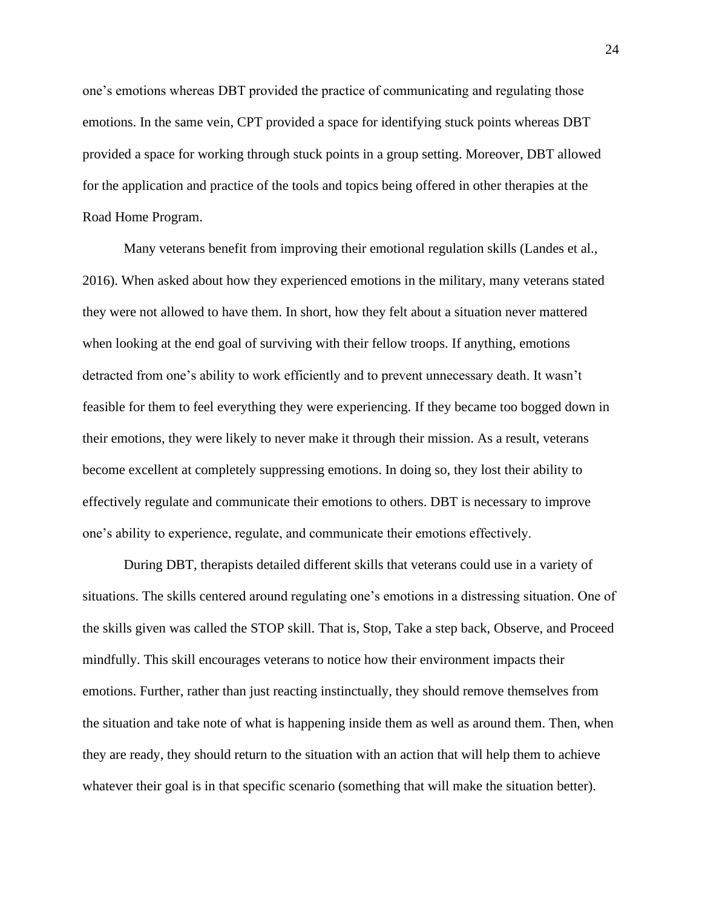one's emotions whereas DBT provided the practice of communicating and regulating those emotions. In the same vein, CPT provided a space for identifying stuck points whereas DBT provided a space for working through stuck points in a group setting. Moreover, DBT allowed for the application and practice of the tools and topics being offered in other therapies at the Road Home Program.

Many veterans benefit from improving their emotional regulation skills (Landes et al., 2016). When asked about how they experienced emotions in the military, many veterans stated they were not allowed to have them. In short, how they felt about a situation never mattered when looking at the end goal of surviving with their fellow troops. If anything, emotions detracted from one's ability to work efficiently and to prevent unnecessary death. It wasn't feasible for them to feel everything they were experiencing. If they became too bogged down in their emotions, they were likely to never make it through their mission. As a result, veterans become excellent at completely suppressing emotions. In doing so, they lost their ability to effectively regulate and communicate their emotions to others. DBT is necessary to improve one's ability to experience, regulate, and communicate their emotions effectively.

During DBT, therapists detailed different skills that veterans could use in a variety of situations. The skills centered around regulating one's emotions in a distressing situation. One of the skills given was called the STOP skill. That is, Stop, Take a step back, Observe, and Proceed mindfully. This skill encourages veterans to notice how their environment impacts their emotions. Further, rather than just reacting instinctually, they should remove themselves from the situation and take note of what is happening inside them as well as around them. Then, when they are ready, they should return to the situation with an action that will help them to achieve whatever their goal is in that specific scenario (something that will make the situation better).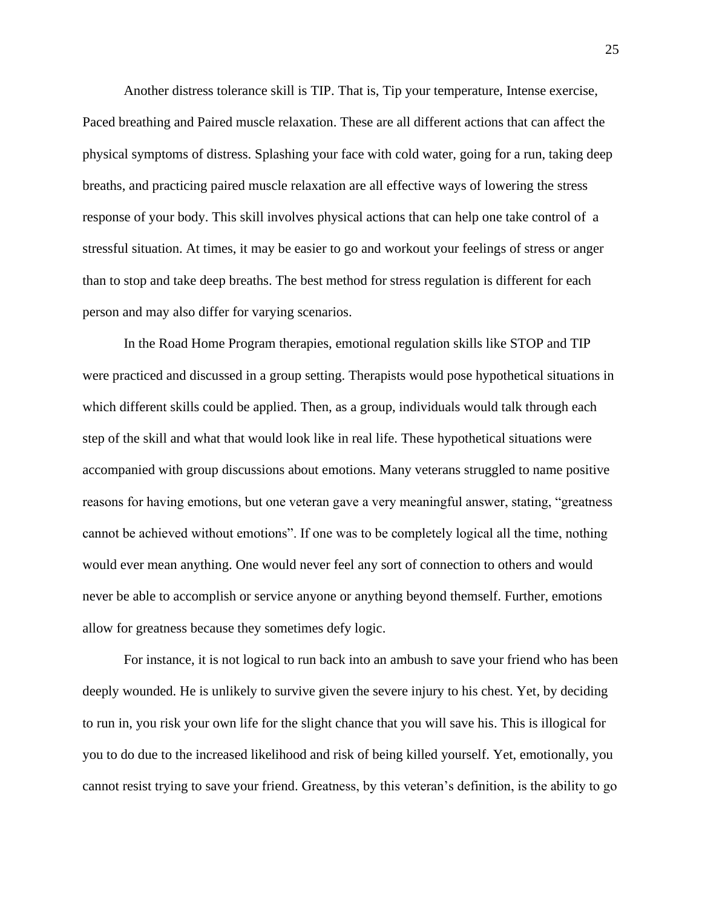Another distress tolerance skill is TIP. That is, Tip your temperature, Intense exercise, Paced breathing and Paired muscle relaxation. These are all different actions that can affect the physical symptoms of distress. Splashing your face with cold water, going for a run, taking deep breaths, and practicing paired muscle relaxation are all effective ways of lowering the stress response of your body. This skill involves physical actions that can help one take control of a stressful situation. At times, it may be easier to go and workout your feelings of stress or anger than to stop and take deep breaths. The best method for stress regulation is different for each person and may also differ for varying scenarios.

In the Road Home Program therapies, emotional regulation skills like STOP and TIP were practiced and discussed in a group setting. Therapists would pose hypothetical situations in which different skills could be applied. Then, as a group, individuals would talk through each step of the skill and what that would look like in real life. These hypothetical situations were accompanied with group discussions about emotions. Many veterans struggled to name positive reasons for having emotions, but one veteran gave a very meaningful answer, stating, "greatness cannot be achieved without emotions". If one was to be completely logical all the time, nothing would ever mean anything. One would never feel any sort of connection to others and would never be able to accomplish or service anyone or anything beyond themself. Further, emotions allow for greatness because they sometimes defy logic.

For instance, it is not logical to run back into an ambush to save your friend who has been deeply wounded. He is unlikely to survive given the severe injury to his chest. Yet, by deciding to run in, you risk your own life for the slight chance that you will save his. This is illogical for you to do due to the increased likelihood and risk of being killed yourself. Yet, emotionally, you cannot resist trying to save your friend. Greatness, by this veteran's definition, is the ability to go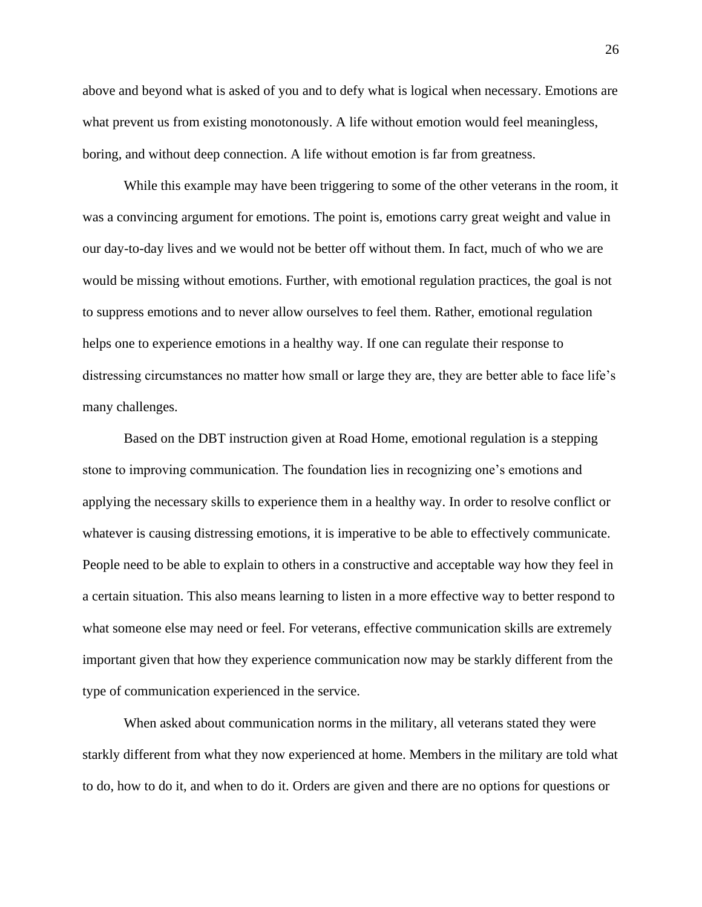above and beyond what is asked of you and to defy what is logical when necessary. Emotions are what prevent us from existing monotonously. A life without emotion would feel meaningless, boring, and without deep connection. A life without emotion is far from greatness.

While this example may have been triggering to some of the other veterans in the room, it was a convincing argument for emotions. The point is, emotions carry great weight and value in our day-to-day lives and we would not be better off without them. In fact, much of who we are would be missing without emotions. Further, with emotional regulation practices, the goal is not to suppress emotions and to never allow ourselves to feel them. Rather, emotional regulation helps one to experience emotions in a healthy way. If one can regulate their response to distressing circumstances no matter how small or large they are, they are better able to face life's many challenges.

Based on the DBT instruction given at Road Home, emotional regulation is a stepping stone to improving communication. The foundation lies in recognizing one's emotions and applying the necessary skills to experience them in a healthy way. In order to resolve conflict or whatever is causing distressing emotions, it is imperative to be able to effectively communicate. People need to be able to explain to others in a constructive and acceptable way how they feel in a certain situation. This also means learning to listen in a more effective way to better respond to what someone else may need or feel. For veterans, effective communication skills are extremely important given that how they experience communication now may be starkly different from the type of communication experienced in the service.

When asked about communication norms in the military, all veterans stated they were starkly different from what they now experienced at home. Members in the military are told what to do, how to do it, and when to do it. Orders are given and there are no options for questions or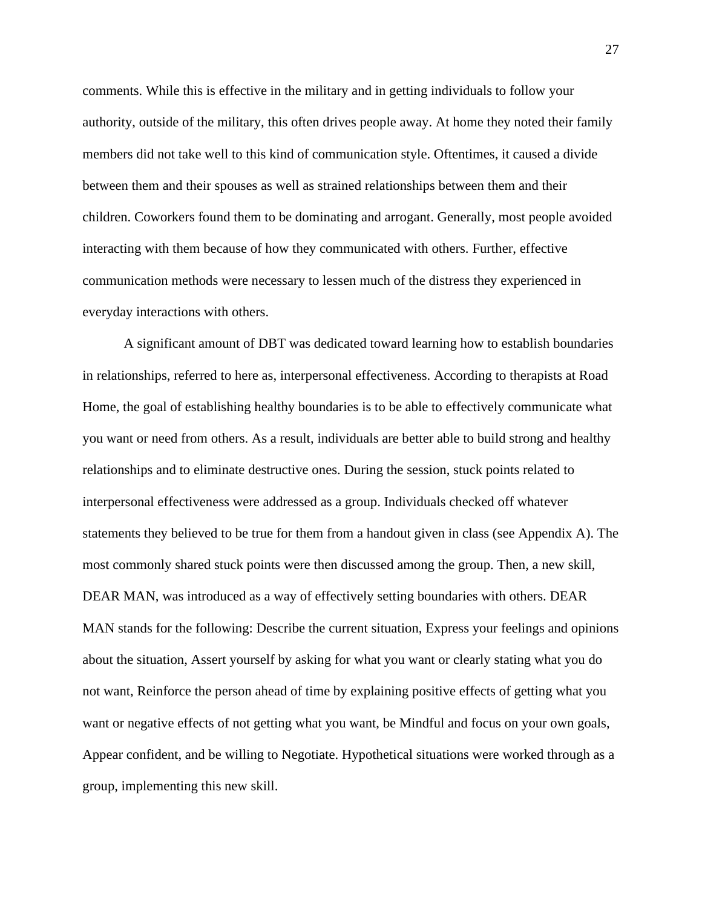comments. While this is effective in the military and in getting individuals to follow your authority, outside of the military, this often drives people away. At home they noted their family members did not take well to this kind of communication style. Oftentimes, it caused a divide between them and their spouses as well as strained relationships between them and their children. Coworkers found them to be dominating and arrogant. Generally, most people avoided interacting with them because of how they communicated with others. Further, effective communication methods were necessary to lessen much of the distress they experienced in everyday interactions with others.

A significant amount of DBT was dedicated toward learning how to establish boundaries in relationships, referred to here as, interpersonal effectiveness. According to therapists at Road Home, the goal of establishing healthy boundaries is to be able to effectively communicate what you want or need from others. As a result, individuals are better able to build strong and healthy relationships and to eliminate destructive ones. During the session, stuck points related to interpersonal effectiveness were addressed as a group. Individuals checked off whatever statements they believed to be true for them from a handout given in class (see Appendix A). The most commonly shared stuck points were then discussed among the group. Then, a new skill, DEAR MAN, was introduced as a way of effectively setting boundaries with others. DEAR MAN stands for the following: Describe the current situation, Express your feelings and opinions about the situation, Assert yourself by asking for what you want or clearly stating what you do not want, Reinforce the person ahead of time by explaining positive effects of getting what you want or negative effects of not getting what you want, be Mindful and focus on your own goals, Appear confident, and be willing to Negotiate. Hypothetical situations were worked through as a group, implementing this new skill.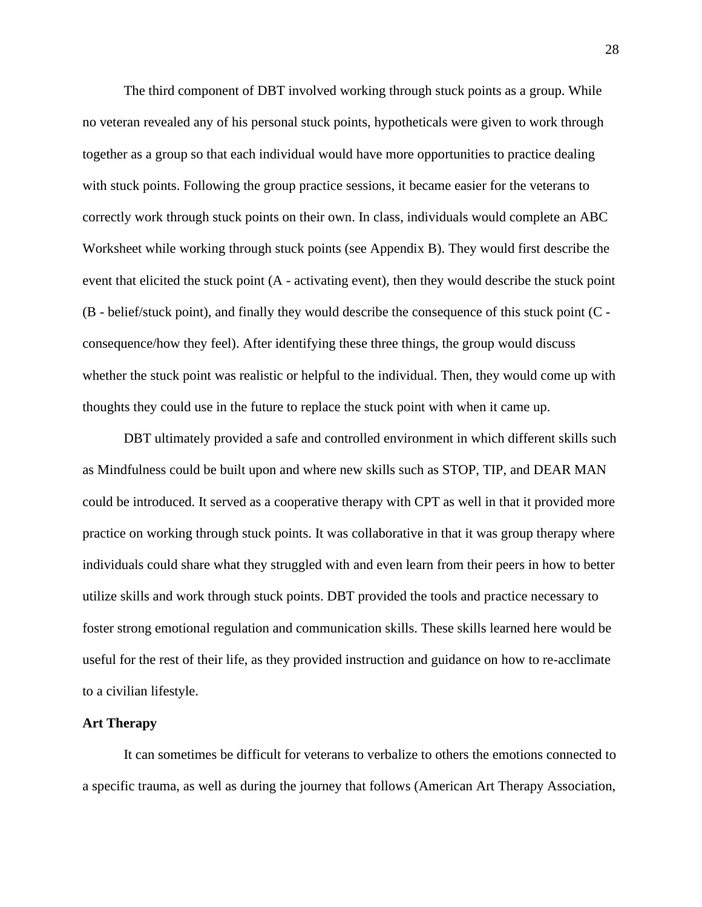The third component of DBT involved working through stuck points as a group. While no veteran revealed any of his personal stuck points, hypotheticals were given to work through together as a group so that each individual would have more opportunities to practice dealing with stuck points. Following the group practice sessions, it became easier for the veterans to correctly work through stuck points on their own. In class, individuals would complete an ABC Worksheet while working through stuck points (see Appendix B). They would first describe the event that elicited the stuck point (A - activating event), then they would describe the stuck point (B - belief/stuck point), and finally they would describe the consequence of this stuck point (C consequence/how they feel). After identifying these three things, the group would discuss whether the stuck point was realistic or helpful to the individual. Then, they would come up with thoughts they could use in the future to replace the stuck point with when it came up.

DBT ultimately provided a safe and controlled environment in which different skills such as Mindfulness could be built upon and where new skills such as STOP, TIP, and DEAR MAN could be introduced. It served as a cooperative therapy with CPT as well in that it provided more practice on working through stuck points. It was collaborative in that it was group therapy where individuals could share what they struggled with and even learn from their peers in how to better utilize skills and work through stuck points. DBT provided the tools and practice necessary to foster strong emotional regulation and communication skills. These skills learned here would be useful for the rest of their life, as they provided instruction and guidance on how to re-acclimate to a civilian lifestyle.

#### **Art Therapy**

It can sometimes be difficult for veterans to verbalize to others the emotions connected to a specific trauma, as well as during the journey that follows (American Art Therapy Association,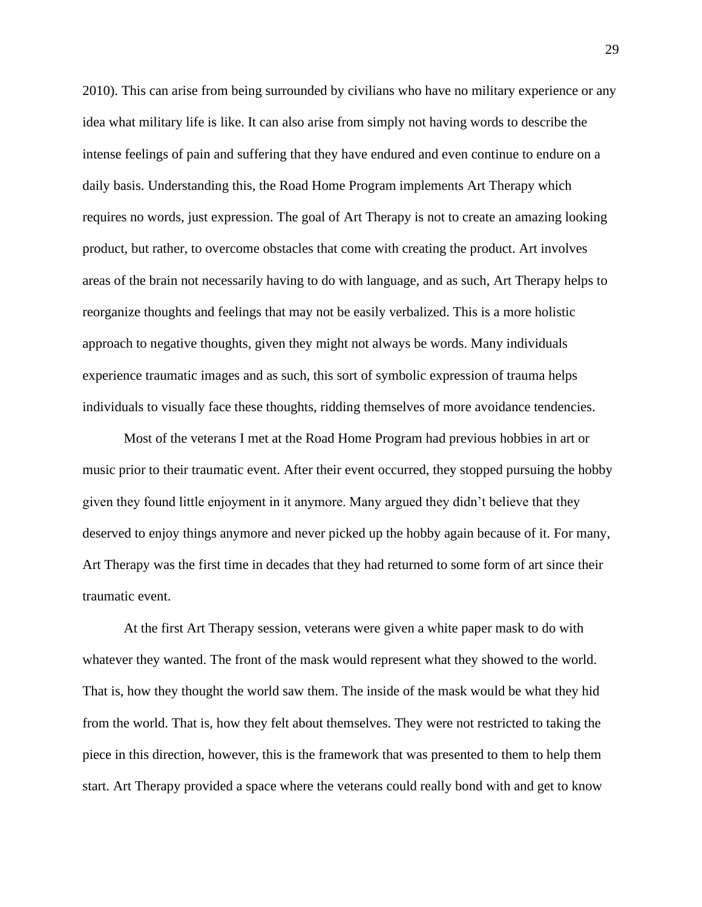2010). This can arise from being surrounded by civilians who have no military experience or any idea what military life is like. It can also arise from simply not having words to describe the intense feelings of pain and suffering that they have endured and even continue to endure on a daily basis. Understanding this, the Road Home Program implements Art Therapy which requires no words, just expression. The goal of Art Therapy is not to create an amazing looking product, but rather, to overcome obstacles that come with creating the product. Art involves areas of the brain not necessarily having to do with language, and as such, Art Therapy helps to reorganize thoughts and feelings that may not be easily verbalized. This is a more holistic approach to negative thoughts, given they might not always be words. Many individuals experience traumatic images and as such, this sort of symbolic expression of trauma helps individuals to visually face these thoughts, ridding themselves of more avoidance tendencies.

Most of the veterans I met at the Road Home Program had previous hobbies in art or music prior to their traumatic event. After their event occurred, they stopped pursuing the hobby given they found little enjoyment in it anymore. Many argued they didn't believe that they deserved to enjoy things anymore and never picked up the hobby again because of it. For many, Art Therapy was the first time in decades that they had returned to some form of art since their traumatic event.

At the first Art Therapy session, veterans were given a white paper mask to do with whatever they wanted. The front of the mask would represent what they showed to the world. That is, how they thought the world saw them. The inside of the mask would be what they hid from the world. That is, how they felt about themselves. They were not restricted to taking the piece in this direction, however, this is the framework that was presented to them to help them start. Art Therapy provided a space where the veterans could really bond with and get to know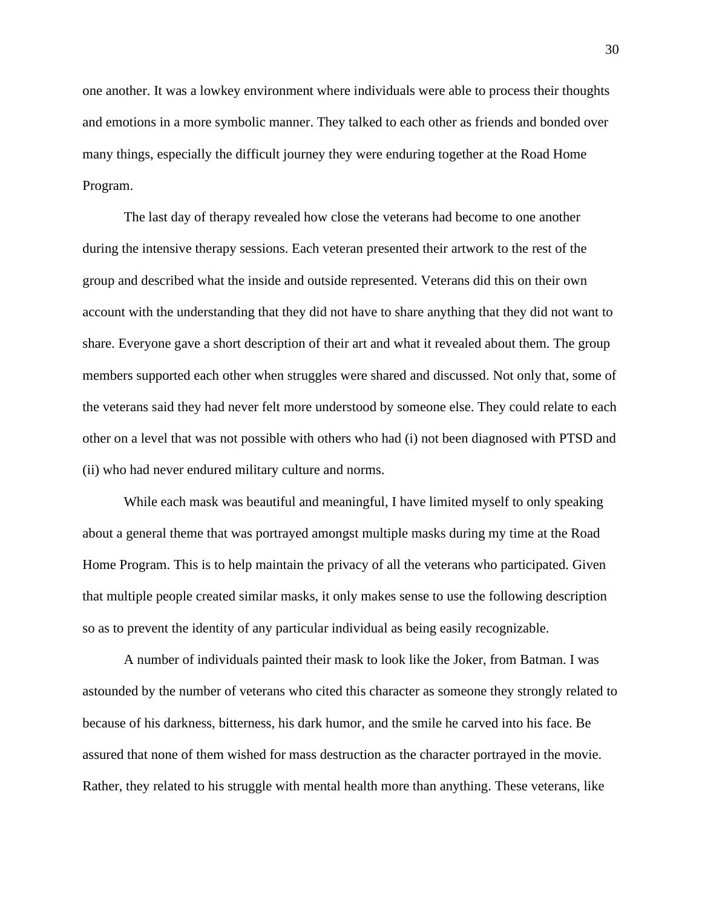one another. It was a lowkey environment where individuals were able to process their thoughts and emotions in a more symbolic manner. They talked to each other as friends and bonded over many things, especially the difficult journey they were enduring together at the Road Home Program.

The last day of therapy revealed how close the veterans had become to one another during the intensive therapy sessions. Each veteran presented their artwork to the rest of the group and described what the inside and outside represented. Veterans did this on their own account with the understanding that they did not have to share anything that they did not want to share. Everyone gave a short description of their art and what it revealed about them. The group members supported each other when struggles were shared and discussed. Not only that, some of the veterans said they had never felt more understood by someone else. They could relate to each other on a level that was not possible with others who had (i) not been diagnosed with PTSD and (ii) who had never endured military culture and norms.

While each mask was beautiful and meaningful, I have limited myself to only speaking about a general theme that was portrayed amongst multiple masks during my time at the Road Home Program. This is to help maintain the privacy of all the veterans who participated. Given that multiple people created similar masks, it only makes sense to use the following description so as to prevent the identity of any particular individual as being easily recognizable.

A number of individuals painted their mask to look like the Joker, from Batman. I was astounded by the number of veterans who cited this character as someone they strongly related to because of his darkness, bitterness, his dark humor, and the smile he carved into his face. Be assured that none of them wished for mass destruction as the character portrayed in the movie. Rather, they related to his struggle with mental health more than anything. These veterans, like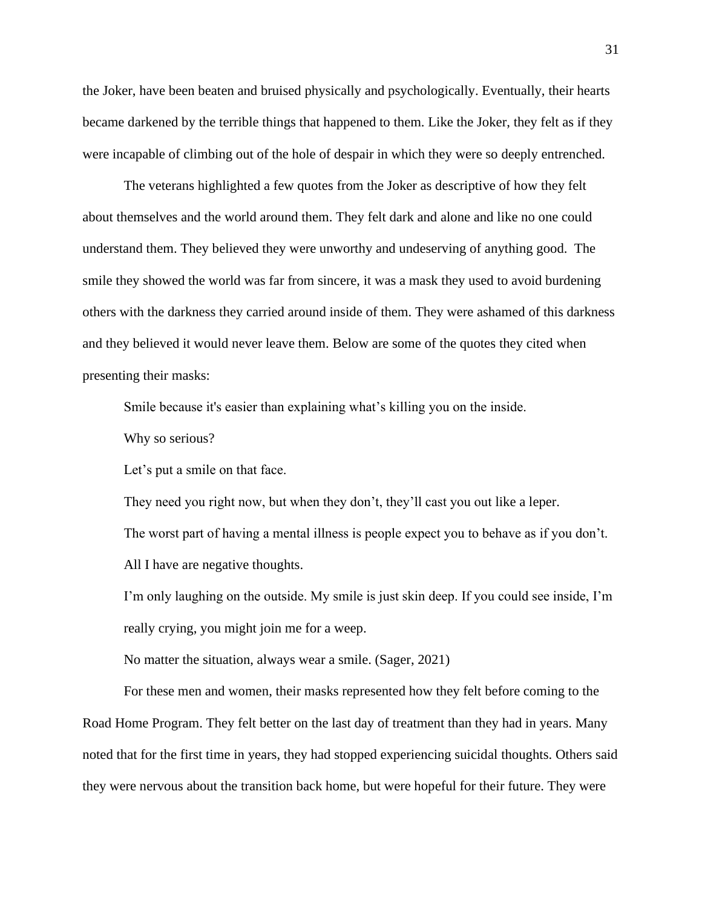the Joker, have been beaten and bruised physically and psychologically. Eventually, their hearts became darkened by the terrible things that happened to them. Like the Joker, they felt as if they were incapable of climbing out of the hole of despair in which they were so deeply entrenched.

The veterans highlighted a few quotes from the Joker as descriptive of how they felt about themselves and the world around them. They felt dark and alone and like no one could understand them. They believed they were unworthy and undeserving of anything good. The smile they showed the world was far from sincere, it was a mask they used to avoid burdening others with the darkness they carried around inside of them. They were ashamed of this darkness and they believed it would never leave them. Below are some of the quotes they cited when presenting their masks:

Smile because it's easier than explaining what's killing you on the inside.

Why so serious?

Let's put a smile on that face.

They need you right now, but when they don't, they'll cast you out like a leper. The worst part of having a mental illness is people expect you to behave as if you don't. All I have are negative thoughts.

I'm only laughing on the outside. My smile is just skin deep. If you could see inside, I'm really crying, you might join me for a weep.

No matter the situation, always wear a smile. (Sager, 2021)

For these men and women, their masks represented how they felt before coming to the Road Home Program. They felt better on the last day of treatment than they had in years. Many noted that for the first time in years, they had stopped experiencing suicidal thoughts. Others said they were nervous about the transition back home, but were hopeful for their future. They were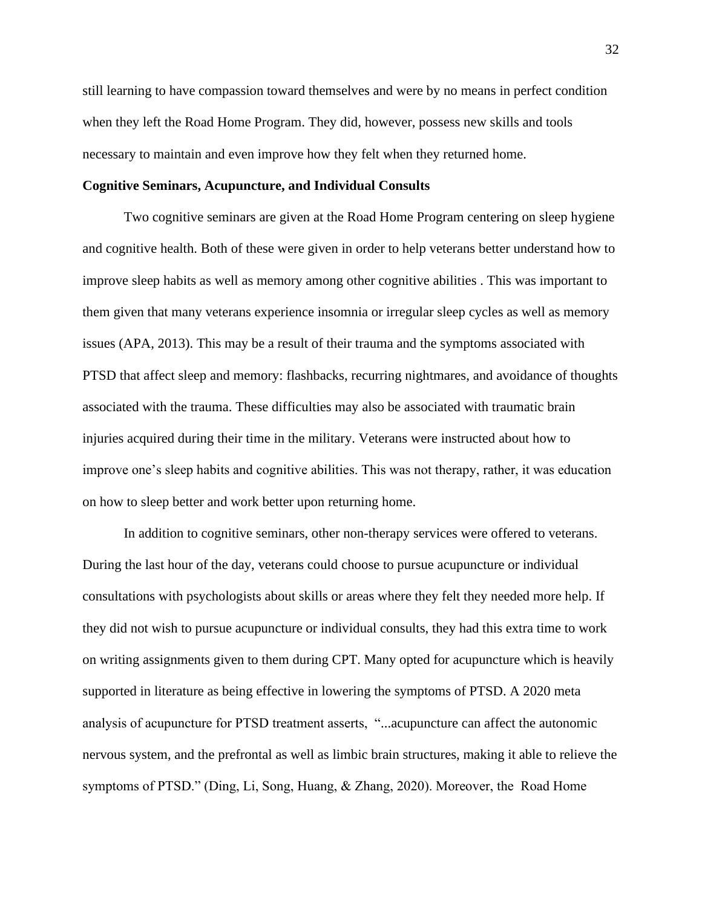still learning to have compassion toward themselves and were by no means in perfect condition when they left the Road Home Program. They did, however, possess new skills and tools necessary to maintain and even improve how they felt when they returned home.

#### **Cognitive Seminars, Acupuncture, and Individual Consults**

Two cognitive seminars are given at the Road Home Program centering on sleep hygiene and cognitive health. Both of these were given in order to help veterans better understand how to improve sleep habits as well as memory among other cognitive abilities . This was important to them given that many veterans experience insomnia or irregular sleep cycles as well as memory issues (APA, 2013). This may be a result of their trauma and the symptoms associated with PTSD that affect sleep and memory: flashbacks, recurring nightmares, and avoidance of thoughts associated with the trauma. These difficulties may also be associated with traumatic brain injuries acquired during their time in the military. Veterans were instructed about how to improve one's sleep habits and cognitive abilities. This was not therapy, rather, it was education on how to sleep better and work better upon returning home.

In addition to cognitive seminars, other non-therapy services were offered to veterans. During the last hour of the day, veterans could choose to pursue acupuncture or individual consultations with psychologists about skills or areas where they felt they needed more help. If they did not wish to pursue acupuncture or individual consults, they had this extra time to work on writing assignments given to them during CPT. Many opted for acupuncture which is heavily supported in literature as being effective in lowering the symptoms of PTSD. A 2020 meta analysis of acupuncture for PTSD treatment asserts, "...acupuncture can affect the autonomic nervous system, and the prefrontal as well as limbic brain structures, making it able to relieve the symptoms of PTSD." (Ding, Li, Song, Huang, & Zhang, 2020). Moreover, the Road Home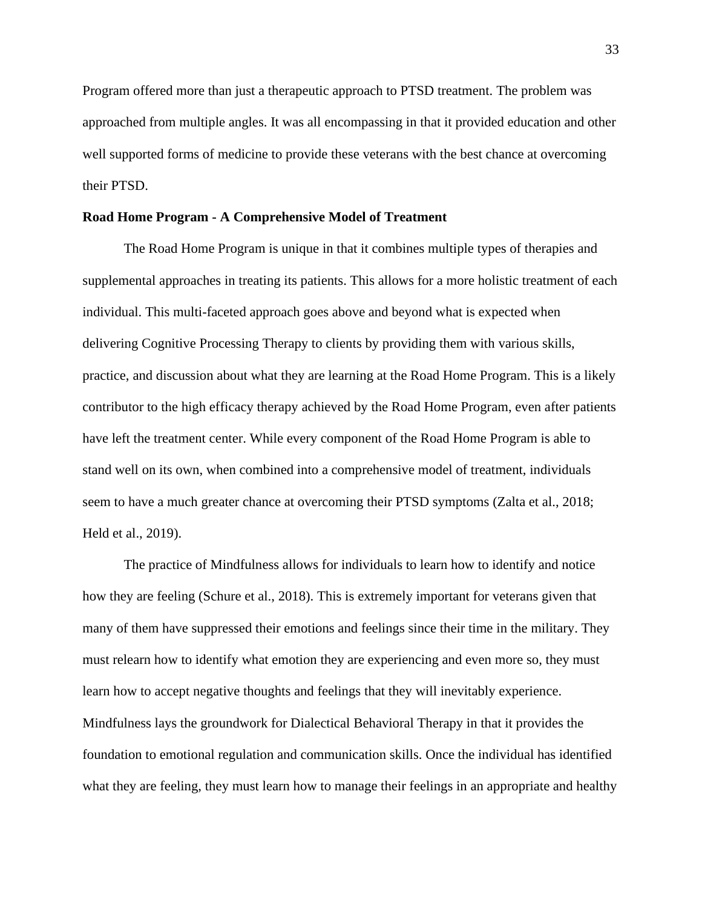Program offered more than just a therapeutic approach to PTSD treatment. The problem was approached from multiple angles. It was all encompassing in that it provided education and other well supported forms of medicine to provide these veterans with the best chance at overcoming their PTSD.

#### **Road Home Program - A Comprehensive Model of Treatment**

The Road Home Program is unique in that it combines multiple types of therapies and supplemental approaches in treating its patients. This allows for a more holistic treatment of each individual. This multi-faceted approach goes above and beyond what is expected when delivering Cognitive Processing Therapy to clients by providing them with various skills, practice, and discussion about what they are learning at the Road Home Program. This is a likely contributor to the high efficacy therapy achieved by the Road Home Program, even after patients have left the treatment center. While every component of the Road Home Program is able to stand well on its own, when combined into a comprehensive model of treatment, individuals seem to have a much greater chance at overcoming their PTSD symptoms (Zalta et al., 2018; Held et al., 2019).

The practice of Mindfulness allows for individuals to learn how to identify and notice how they are feeling (Schure et al., 2018). This is extremely important for veterans given that many of them have suppressed their emotions and feelings since their time in the military. They must relearn how to identify what emotion they are experiencing and even more so, they must learn how to accept negative thoughts and feelings that they will inevitably experience. Mindfulness lays the groundwork for Dialectical Behavioral Therapy in that it provides the foundation to emotional regulation and communication skills. Once the individual has identified what they are feeling, they must learn how to manage their feelings in an appropriate and healthy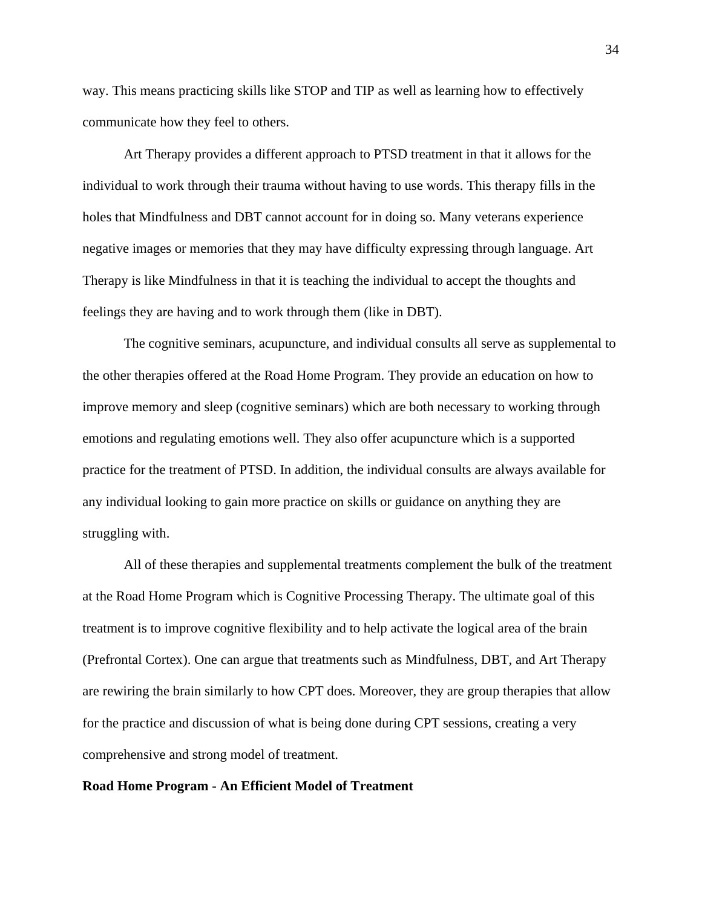way. This means practicing skills like STOP and TIP as well as learning how to effectively communicate how they feel to others.

Art Therapy provides a different approach to PTSD treatment in that it allows for the individual to work through their trauma without having to use words. This therapy fills in the holes that Mindfulness and DBT cannot account for in doing so. Many veterans experience negative images or memories that they may have difficulty expressing through language. Art Therapy is like Mindfulness in that it is teaching the individual to accept the thoughts and feelings they are having and to work through them (like in DBT).

The cognitive seminars, acupuncture, and individual consults all serve as supplemental to the other therapies offered at the Road Home Program. They provide an education on how to improve memory and sleep (cognitive seminars) which are both necessary to working through emotions and regulating emotions well. They also offer acupuncture which is a supported practice for the treatment of PTSD. In addition, the individual consults are always available for any individual looking to gain more practice on skills or guidance on anything they are struggling with.

All of these therapies and supplemental treatments complement the bulk of the treatment at the Road Home Program which is Cognitive Processing Therapy. The ultimate goal of this treatment is to improve cognitive flexibility and to help activate the logical area of the brain (Prefrontal Cortex). One can argue that treatments such as Mindfulness, DBT, and Art Therapy are rewiring the brain similarly to how CPT does. Moreover, they are group therapies that allow for the practice and discussion of what is being done during CPT sessions, creating a very comprehensive and strong model of treatment.

## **Road Home Program - An Efficient Model of Treatment**

34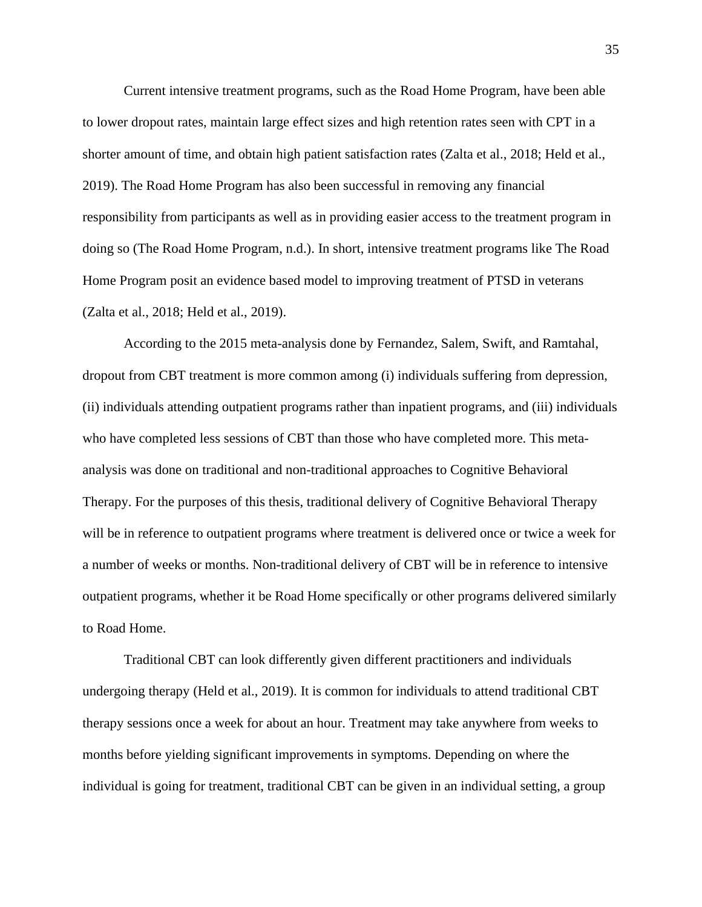Current intensive treatment programs, such as the Road Home Program, have been able to lower dropout rates, maintain large effect sizes and high retention rates seen with CPT in a shorter amount of time, and obtain high patient satisfaction rates (Zalta et al., 2018; Held et al., 2019). The Road Home Program has also been successful in removing any financial responsibility from participants as well as in providing easier access to the treatment program in doing so (The Road Home Program, n.d.). In short, intensive treatment programs like The Road Home Program posit an evidence based model to improving treatment of PTSD in veterans (Zalta et al., 2018; Held et al., 2019).

According to the 2015 meta-analysis done by Fernandez, Salem, Swift, and Ramtahal, dropout from CBT treatment is more common among (i) individuals suffering from depression, (ii) individuals attending outpatient programs rather than inpatient programs, and (iii) individuals who have completed less sessions of CBT than those who have completed more. This metaanalysis was done on traditional and non-traditional approaches to Cognitive Behavioral Therapy. For the purposes of this thesis, traditional delivery of Cognitive Behavioral Therapy will be in reference to outpatient programs where treatment is delivered once or twice a week for a number of weeks or months. Non-traditional delivery of CBT will be in reference to intensive outpatient programs, whether it be Road Home specifically or other programs delivered similarly to Road Home.

Traditional CBT can look differently given different practitioners and individuals undergoing therapy (Held et al., 2019). It is common for individuals to attend traditional CBT therapy sessions once a week for about an hour. Treatment may take anywhere from weeks to months before yielding significant improvements in symptoms. Depending on where the individual is going for treatment, traditional CBT can be given in an individual setting, a group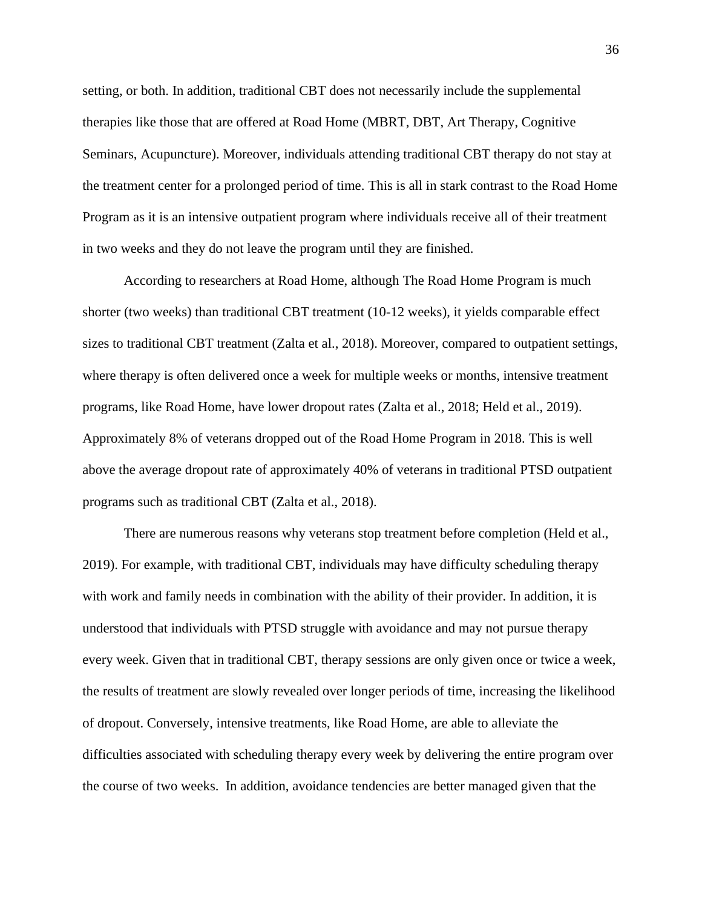setting, or both. In addition, traditional CBT does not necessarily include the supplemental therapies like those that are offered at Road Home (MBRT, DBT, Art Therapy, Cognitive Seminars, Acupuncture). Moreover, individuals attending traditional CBT therapy do not stay at the treatment center for a prolonged period of time. This is all in stark contrast to the Road Home Program as it is an intensive outpatient program where individuals receive all of their treatment in two weeks and they do not leave the program until they are finished.

According to researchers at Road Home, although The Road Home Program is much shorter (two weeks) than traditional CBT treatment (10-12 weeks), it yields comparable effect sizes to traditional CBT treatment (Zalta et al., 2018). Moreover, compared to outpatient settings, where therapy is often delivered once a week for multiple weeks or months, intensive treatment programs, like Road Home, have lower dropout rates (Zalta et al., 2018; Held et al., 2019). Approximately 8% of veterans dropped out of the Road Home Program in 2018. This is well above the average dropout rate of approximately 40% of veterans in traditional PTSD outpatient programs such as traditional CBT (Zalta et al., 2018).

There are numerous reasons why veterans stop treatment before completion (Held et al., 2019). For example, with traditional CBT, individuals may have difficulty scheduling therapy with work and family needs in combination with the ability of their provider. In addition, it is understood that individuals with PTSD struggle with avoidance and may not pursue therapy every week. Given that in traditional CBT, therapy sessions are only given once or twice a week, the results of treatment are slowly revealed over longer periods of time, increasing the likelihood of dropout. Conversely, intensive treatments, like Road Home, are able to alleviate the difficulties associated with scheduling therapy every week by delivering the entire program over the course of two weeks. In addition, avoidance tendencies are better managed given that the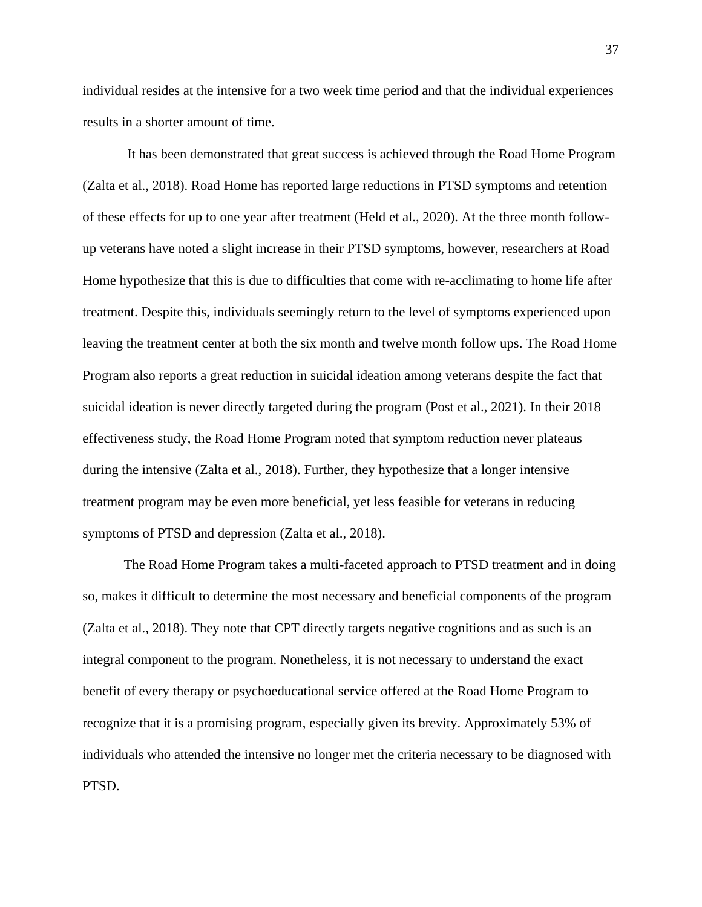individual resides at the intensive for a two week time period and that the individual experiences results in a shorter amount of time.

It has been demonstrated that great success is achieved through the Road Home Program (Zalta et al., 2018). Road Home has reported large reductions in PTSD symptoms and retention of these effects for up to one year after treatment (Held et al., 2020). At the three month followup veterans have noted a slight increase in their PTSD symptoms, however, researchers at Road Home hypothesize that this is due to difficulties that come with re-acclimating to home life after treatment. Despite this, individuals seemingly return to the level of symptoms experienced upon leaving the treatment center at both the six month and twelve month follow ups. The Road Home Program also reports a great reduction in suicidal ideation among veterans despite the fact that suicidal ideation is never directly targeted during the program (Post et al., 2021). In their 2018 effectiveness study, the Road Home Program noted that symptom reduction never plateaus during the intensive (Zalta et al., 2018). Further, they hypothesize that a longer intensive treatment program may be even more beneficial, yet less feasible for veterans in reducing symptoms of PTSD and depression (Zalta et al., 2018).

The Road Home Program takes a multi-faceted approach to PTSD treatment and in doing so, makes it difficult to determine the most necessary and beneficial components of the program (Zalta et al., 2018). They note that CPT directly targets negative cognitions and as such is an integral component to the program. Nonetheless, it is not necessary to understand the exact benefit of every therapy or psychoeducational service offered at the Road Home Program to recognize that it is a promising program, especially given its brevity. Approximately 53% of individuals who attended the intensive no longer met the criteria necessary to be diagnosed with PTSD.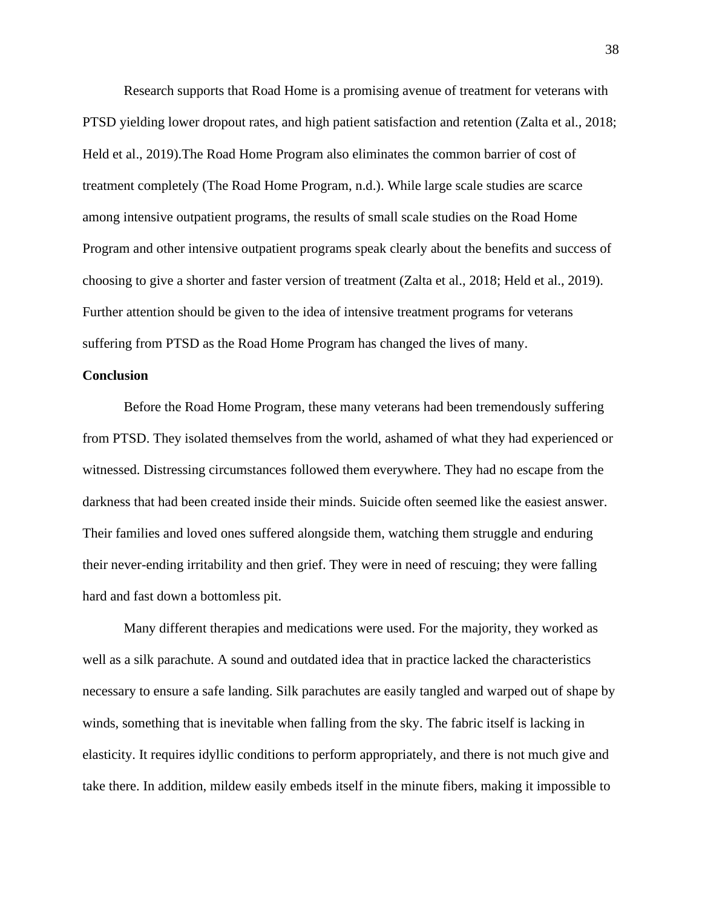Research supports that Road Home is a promising avenue of treatment for veterans with PTSD yielding lower dropout rates, and high patient satisfaction and retention (Zalta et al., 2018; Held et al., 2019).The Road Home Program also eliminates the common barrier of cost of treatment completely (The Road Home Program, n.d.). While large scale studies are scarce among intensive outpatient programs, the results of small scale studies on the Road Home Program and other intensive outpatient programs speak clearly about the benefits and success of choosing to give a shorter and faster version of treatment (Zalta et al., 2018; Held et al., 2019). Further attention should be given to the idea of intensive treatment programs for veterans suffering from PTSD as the Road Home Program has changed the lives of many.

#### **Conclusion**

Before the Road Home Program, these many veterans had been tremendously suffering from PTSD. They isolated themselves from the world, ashamed of what they had experienced or witnessed. Distressing circumstances followed them everywhere. They had no escape from the darkness that had been created inside their minds. Suicide often seemed like the easiest answer. Their families and loved ones suffered alongside them, watching them struggle and enduring their never-ending irritability and then grief. They were in need of rescuing; they were falling hard and fast down a bottomless pit.

Many different therapies and medications were used. For the majority, they worked as well as a silk parachute. A sound and outdated idea that in practice lacked the characteristics necessary to ensure a safe landing. Silk parachutes are easily tangled and warped out of shape by winds, something that is inevitable when falling from the sky. The fabric itself is lacking in elasticity. It requires idyllic conditions to perform appropriately, and there is not much give and take there. In addition, mildew easily embeds itself in the minute fibers, making it impossible to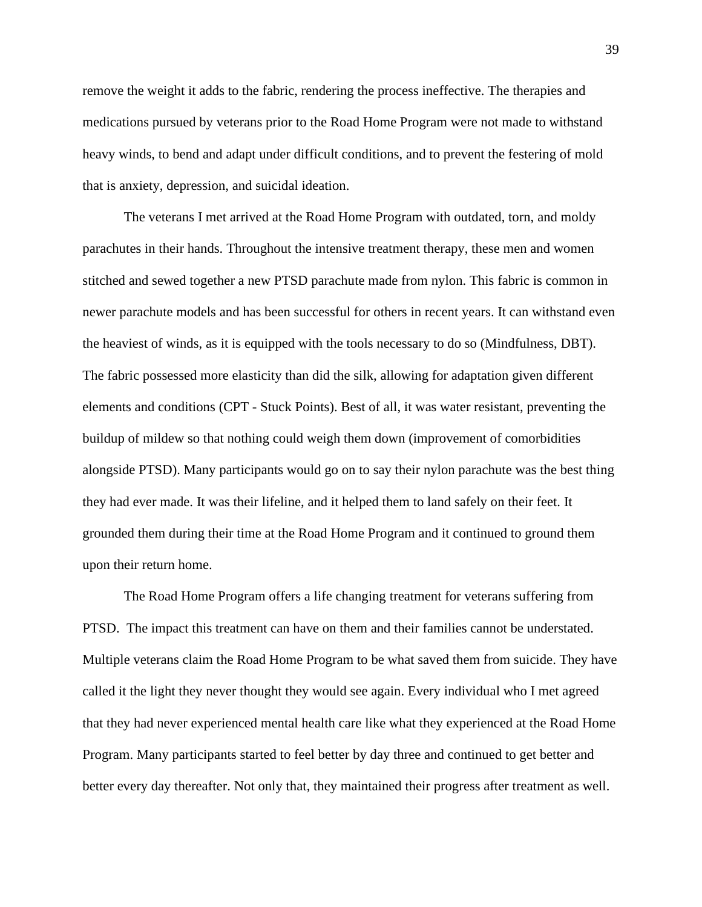remove the weight it adds to the fabric, rendering the process ineffective. The therapies and medications pursued by veterans prior to the Road Home Program were not made to withstand heavy winds, to bend and adapt under difficult conditions, and to prevent the festering of mold that is anxiety, depression, and suicidal ideation.

The veterans I met arrived at the Road Home Program with outdated, torn, and moldy parachutes in their hands. Throughout the intensive treatment therapy, these men and women stitched and sewed together a new PTSD parachute made from nylon. This fabric is common in newer parachute models and has been successful for others in recent years. It can withstand even the heaviest of winds, as it is equipped with the tools necessary to do so (Mindfulness, DBT). The fabric possessed more elasticity than did the silk, allowing for adaptation given different elements and conditions (CPT - Stuck Points). Best of all, it was water resistant, preventing the buildup of mildew so that nothing could weigh them down (improvement of comorbidities alongside PTSD). Many participants would go on to say their nylon parachute was the best thing they had ever made. It was their lifeline, and it helped them to land safely on their feet. It grounded them during their time at the Road Home Program and it continued to ground them upon their return home.

The Road Home Program offers a life changing treatment for veterans suffering from PTSD. The impact this treatment can have on them and their families cannot be understated. Multiple veterans claim the Road Home Program to be what saved them from suicide. They have called it the light they never thought they would see again. Every individual who I met agreed that they had never experienced mental health care like what they experienced at the Road Home Program. Many participants started to feel better by day three and continued to get better and better every day thereafter. Not only that, they maintained their progress after treatment as well.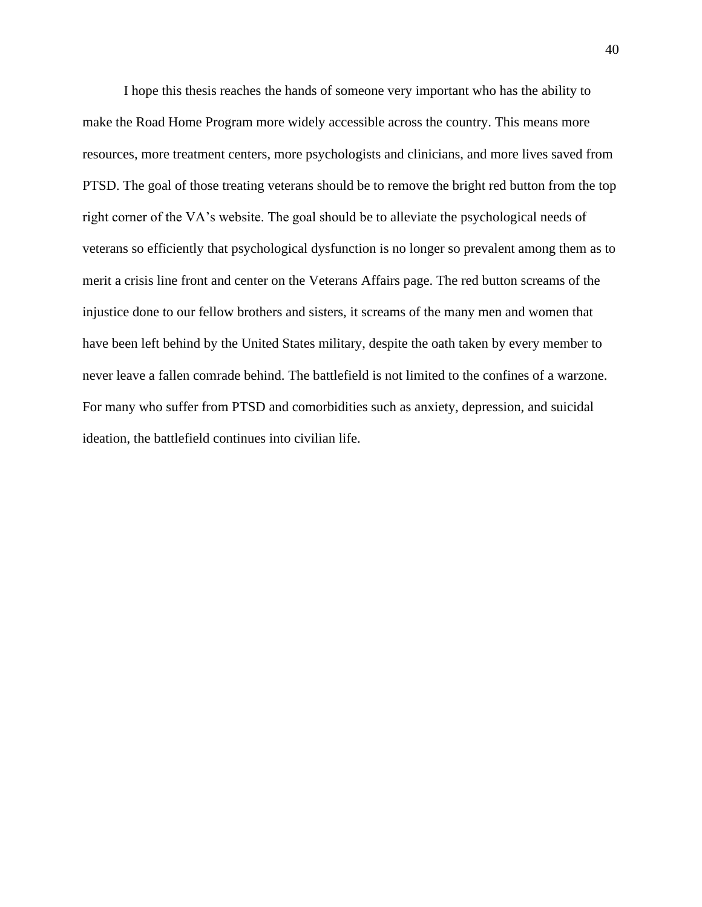I hope this thesis reaches the hands of someone very important who has the ability to make the Road Home Program more widely accessible across the country. This means more resources, more treatment centers, more psychologists and clinicians, and more lives saved from PTSD. The goal of those treating veterans should be to remove the bright red button from the top right corner of the VA's website. The goal should be to alleviate the psychological needs of veterans so efficiently that psychological dysfunction is no longer so prevalent among them as to merit a crisis line front and center on the Veterans Affairs page. The red button screams of the injustice done to our fellow brothers and sisters, it screams of the many men and women that have been left behind by the United States military, despite the oath taken by every member to never leave a fallen comrade behind. The battlefield is not limited to the confines of a warzone. For many who suffer from PTSD and comorbidities such as anxiety, depression, and suicidal ideation, the battlefield continues into civilian life.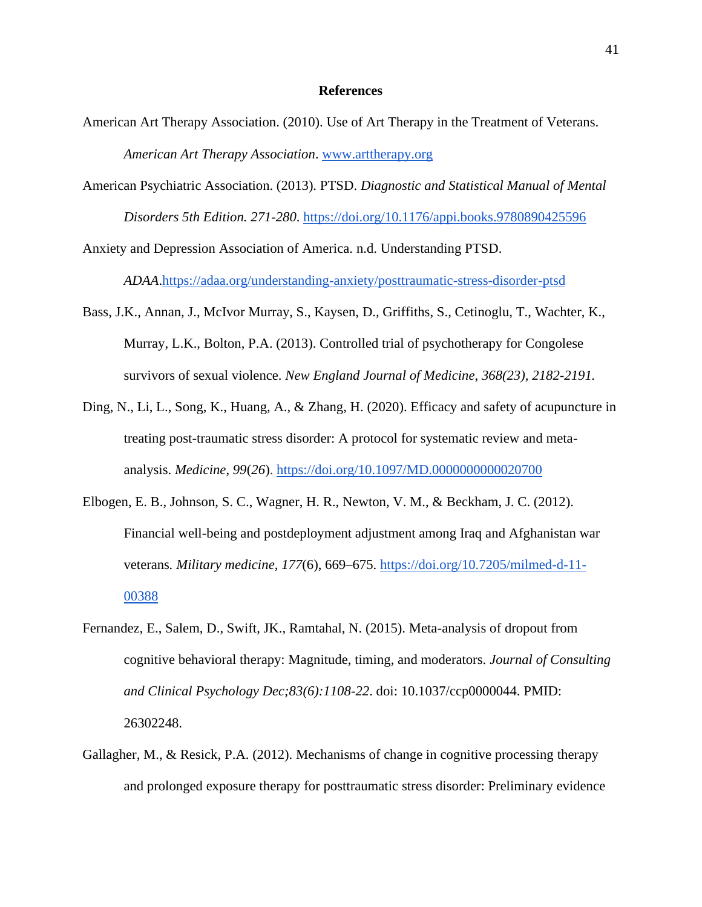#### **References**

- American Art Therapy Association. (2010). Use of Art Therapy in the Treatment of Veterans. *American Art Therapy Association*. [www.arttherapy.org](http://www.arttherapy.org/)
- American Psychiatric Association. (2013). PTSD. *Diagnostic and Statistical Manual of Mental Disorders 5th Edition. 271-280*.<https://doi.org/10.1176/appi.books.9780890425596>

Anxiety and Depression Association of America. n.d. Understanding PTSD.

*ADAA*[.https://adaa.org/understanding-anxiety/posttraumatic-stress-disorder-ptsd](https://adaa.org/understanding-anxiety/posttraumatic-stress-disorder-ptsd)

- Bass, J.K., Annan, J., McIvor Murray, S., Kaysen, D., Griffiths, S., Cetinoglu, T., Wachter, K., Murray, L.K., Bolton, P.A. (2013). Controlled trial of psychotherapy for Congolese survivors of sexual violence. *New England Journal of Medicine*, *368(23), 2182-2191.*
- Ding, N., Li, L., Song, K., Huang, A., & Zhang, H. (2020). Efficacy and safety of acupuncture in treating post-traumatic stress disorder: A protocol for systematic review and metaanalysis. *Medicine*, *99*(*26*).<https://doi.org/10.1097/MD.0000000000020700>
- Elbogen, E. B., Johnson, S. C., Wagner, H. R., Newton, V. M., & Beckham, J. C. (2012). Financial well-being and postdeployment adjustment among Iraq and Afghanistan war veterans*. Military medicine, 177*(6), 669–675. [https://doi.org/10.7205/milmed-d-11-](https://doi.org/10.7205/milmed-d-11-00388) [00388](https://doi.org/10.7205/milmed-d-11-00388)
- Fernandez, E., Salem, D., Swift, JK., Ramtahal, N. (2015). Meta-analysis of dropout from cognitive behavioral therapy: Magnitude, timing, and moderators. *Journal of Consulting and Clinical Psychology Dec;83(6):1108-22*. doi: 10.1037/ccp0000044. PMID: 26302248.
- Gallagher, M., & Resick, P.A. (2012). Mechanisms of change in cognitive processing therapy and prolonged exposure therapy for posttraumatic stress disorder: Preliminary evidence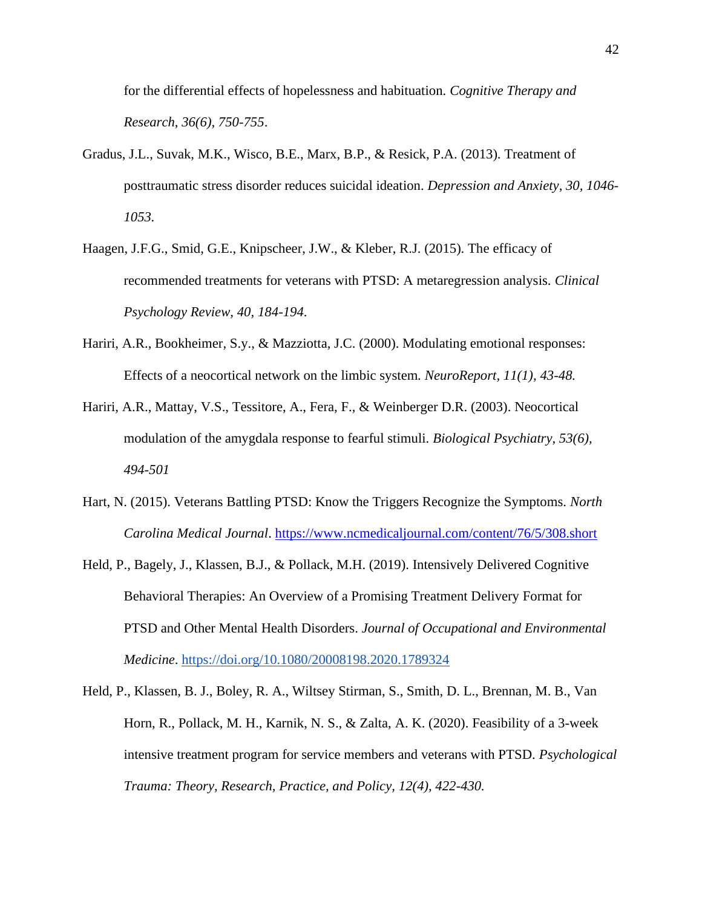for the differential effects of hopelessness and habituation. *Cognitive Therapy and Research*, *36(6), 750-755*.

- Gradus, J.L., Suvak, M.K., Wisco, B.E., Marx, B.P., & Resick, P.A. (2013). Treatment of posttraumatic stress disorder reduces suicidal ideation. *Depression and Anxiety, 30, 1046- 1053.*
- Haagen, J.F.G., Smid, G.E., Knipscheer, J.W., & Kleber, R.J. (2015). The efficacy of recommended treatments for veterans with PTSD: A metaregression analysis. *Clinical Psychology Review, 40, 184-194*.
- Hariri, A.R., Bookheimer, S.y., & Mazziotta, J.C. (2000). Modulating emotional responses: Effects of a neocortical network on the limbic system*. NeuroReport, 11(1), 43-48.*
- Hariri, A.R., Mattay, V.S., Tessitore, A., Fera, F., & Weinberger D.R. (2003). Neocortical modulation of the amygdala response to fearful stimuli. *Biological Psychiatry, 53(6), 494-501*
- Hart, N. (2015). Veterans Battling PTSD: Know the Triggers Recognize the Symptoms. *North Carolina Medical Journal*. <https://www.ncmedicaljournal.com/content/76/5/308.short>
- Held, P., Bagely, J., Klassen, B.J., & Pollack, M.H. (2019). Intensively Delivered Cognitive Behavioral Therapies: An Overview of a Promising Treatment Delivery Format for PTSD and Other Mental Health Disorders. *Journal of Occupational and Environmental Medicine*.<https://doi.org/10.1080/20008198.2020.1789324>
- Held, P., Klassen, B. J., Boley, R. A., Wiltsey Stirman, S., Smith, D. L., Brennan, M. B., Van Horn, R., Pollack, M. H., Karnik, N. S., & Zalta, A. K. (2020). Feasibility of a 3-week intensive treatment program for service members and veterans with PTSD*. Psychological Trauma: Theory, Research, Practice, and Policy, 12(4), 422-430.*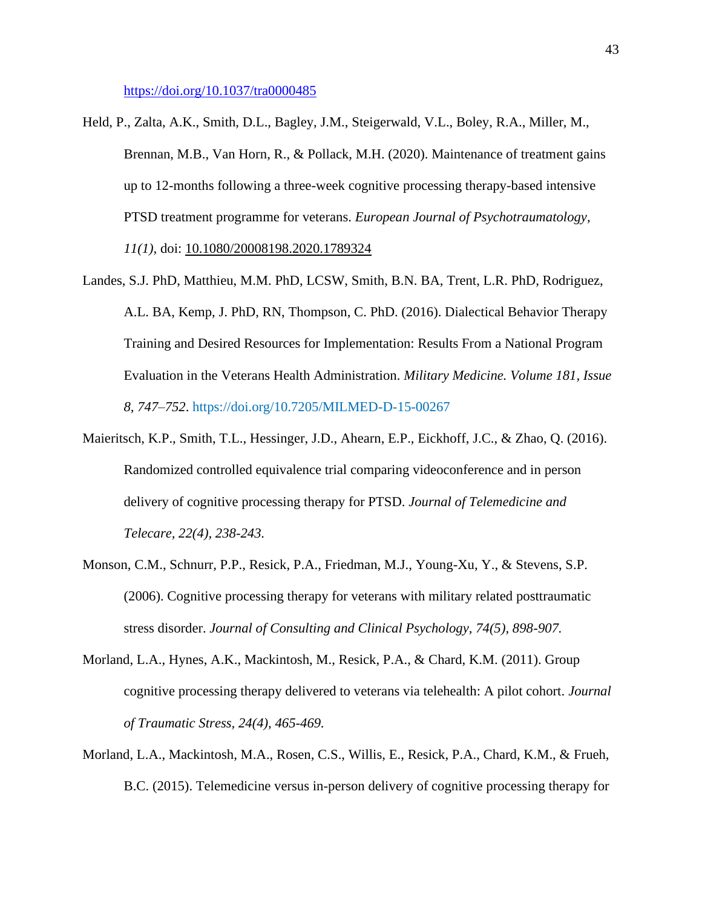<https://doi.org/10.1037/tra0000485>

- Held, P., Zalta, A.K., Smith, D.L., Bagley, J.M., Steigerwald, V.L., Boley, R.A., Miller, M., Brennan, M.B., Van Horn, R., & Pollack, M.H. (2020). Maintenance of treatment gains up to 12-months following a three-week cognitive processing therapy-based intensive PTSD treatment programme for veterans. *European Journal of Psychotraumatology, 11(1),* doi: [10.1080/20008198.2020.1789324](https://doi.org/10.1080/20008198.2020.1789324)
- Landes, S.J. PhD, Matthieu, M.M. PhD, LCSW, Smith, B.N. BA, Trent, L.R. PhD, Rodriguez, A.L. BA, Kemp, J. PhD, RN, Thompson, C. PhD. (2016). Dialectical Behavior Therapy Training and Desired Resources for Implementation: Results From a National Program Evaluation in the Veterans Health Administration. *Military Medicine. Volume 181, Issue 8, 747–752*.<https://doi.org/10.7205/MILMED-D-15-00267>
- Maieritsch, K.P., Smith, T.L., Hessinger, J.D., Ahearn, E.P., Eickhoff, J.C., & Zhao, Q. (2016). Randomized controlled equivalence trial comparing videoconference and in person delivery of cognitive processing therapy for PTSD. *Journal of Telemedicine and Telecare, 22(4), 238-243.*
- Monson, C.M., Schnurr, P.P., Resick, P.A., Friedman, M.J., Young-Xu, Y., & Stevens, S.P. (2006). Cognitive processing therapy for veterans with military related posttraumatic stress disorder. *Journal of Consulting and Clinical Psychology, 74(5), 898-907.*
- Morland, L.A., Hynes, A.K., Mackintosh, M., Resick, P.A., & Chard, K.M. (2011). Group cognitive processing therapy delivered to veterans via telehealth: A pilot cohort. *Journal of Traumatic Stress, 24(4), 465-469.*
- Morland, L.A., Mackintosh, M.A., Rosen, C.S., Willis, E., Resick, P.A., Chard, K.M., & Frueh, B.C. (2015). Telemedicine versus in-person delivery of cognitive processing therapy for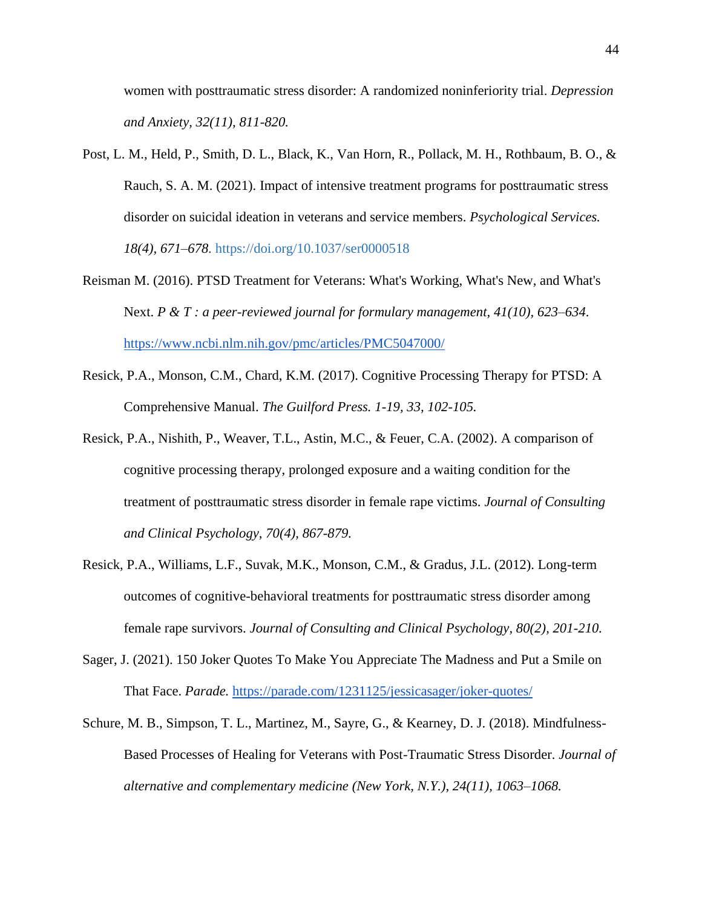women with posttraumatic stress disorder: A randomized noninferiority trial. *Depression and Anxiety, 32(11), 811-820.*

- Post, L. M., Held, P., Smith, D. L., Black, K., Van Horn, R., Pollack, M. H., Rothbaum, B. O., & Rauch, S. A. M. (2021). Impact of intensive treatment programs for posttraumatic stress disorder on suicidal ideation in veterans and service members. *Psychological Services. 18(4), 671–678.* [https://doi.org/10.1037/ser0000518](https://doi.apa.org/doi/10.1037/ser0000518)
- Reisman M. (2016). PTSD Treatment for Veterans: What's Working, What's New, and What's Next. *P & T : a peer-reviewed journal for formulary management, 41(10), 623–634*. <https://www.ncbi.nlm.nih.gov/pmc/articles/PMC5047000/>
- Resick, P.A., Monson, C.M., Chard, K.M. (2017). Cognitive Processing Therapy for PTSD: A Comprehensive Manual. *The Guilford Press. 1-19, 33, 102-105.*
- Resick, P.A., Nishith, P., Weaver, T.L., Astin, M.C., & Feuer, C.A. (2002). A comparison of cognitive processing therapy, prolonged exposure and a waiting condition for the treatment of posttraumatic stress disorder in female rape victims. *Journal of Consulting and Clinical Psychology, 70(4), 867-879.*
- Resick, P.A., Williams, L.F., Suvak, M.K., Monson, C.M., & Gradus, J.L. (2012). Long-term outcomes of cognitive-behavioral treatments for posttraumatic stress disorder among female rape survivors. *Journal of Consulting and Clinical Psychology, 80(2), 201-210.*
- Sager, J. (2021). 150 Joker Quotes To Make You Appreciate The Madness and Put a Smile on That Face. *Parade.* <https://parade.com/1231125/jessicasager/joker-quotes/>
- Schure, M. B., Simpson, T. L., Martinez, M., Sayre, G., & Kearney, D. J. (2018). Mindfulness-Based Processes of Healing for Veterans with Post-Traumatic Stress Disorder. *Journal of alternative and complementary medicine (New York, N.Y.), 24(11), 1063–1068.*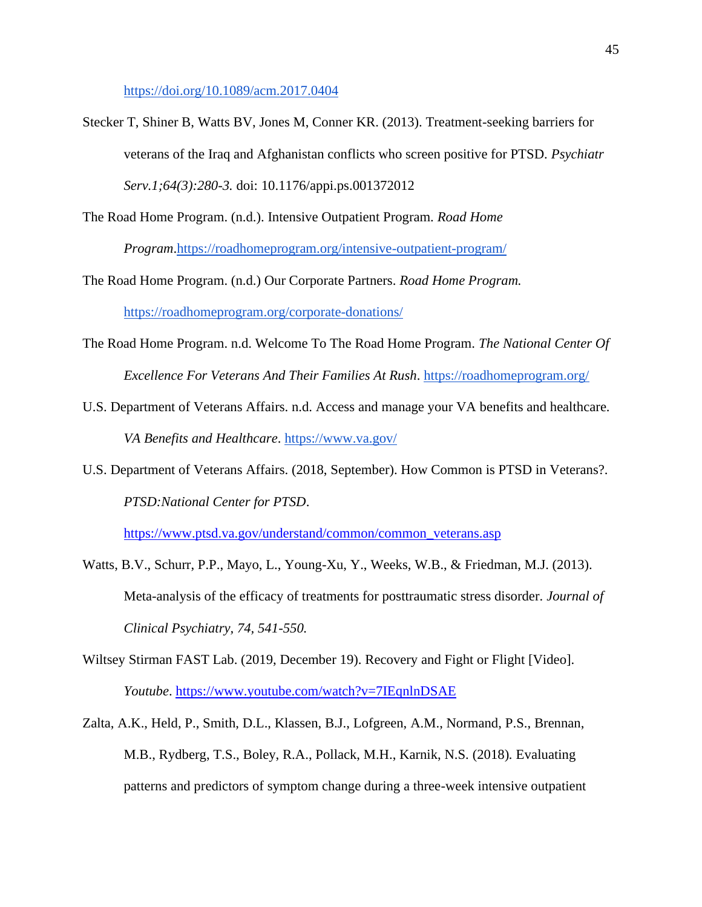<https://doi.org/10.1089/acm.2017.0404>

Stecker T, Shiner B, Watts BV, Jones M, Conner KR. (2013). Treatment-seeking barriers for veterans of the Iraq and Afghanistan conflicts who screen positive for PTSD. *Psychiatr Serv.1;64(3):280-3.* doi: 10.1176/appi.ps.001372012

The Road Home Program. (n.d.). Intensive Outpatient Program. *Road Home Program*[.https://roadhomeprogram.org/intensive-outpatient-program/](https://roadhomeprogram.org/intensive-outpatient-program/)

The Road Home Program. (n.d.) Our Corporate Partners. *Road Home Program.*  <https://roadhomeprogram.org/corporate-donations/>

- The Road Home Program. n.d. Welcome To The Road Home Program. *The National Center Of Excellence For Veterans And Their Families At Rush*.<https://roadhomeprogram.org/>
- U.S. Department of Veterans Affairs. n.d. Access and manage your VA benefits and healthcare. *VA Benefits and Healthcare*.<https://www.va.gov/>
- U.S. Department of Veterans Affairs. (2018, September). How Common is PTSD in Veterans?. *PTSD:National Center for PTSD*.

[https://www.ptsd.va.gov/understand/common/common\\_veterans.asp](https://www.ptsd.va.gov/understand/common/common_veterans.asp)

- Watts, B.V., Schurr, P.P., Mayo, L., Young-Xu, Y., Weeks, W.B., & Friedman, M.J. (2013). Meta-analysis of the efficacy of treatments for posttraumatic stress disorder. *Journal of Clinical Psychiatry, 74, 541-550.*
- Wiltsey Stirman FAST Lab. (2019, December 19). Recovery and Fight or Flight [Video]. *Youtube*. <https://www.youtube.com/watch?v=7IEqnlnDSAE>
- Zalta, A.K., Held, P., Smith, D.L., Klassen, B.J., Lofgreen, A.M., Normand, P.S., Brennan, M.B., Rydberg, T.S., Boley, R.A., Pollack, M.H., Karnik, N.S. (2018)*.* Evaluating patterns and predictors of symptom change during a three-week intensive outpatient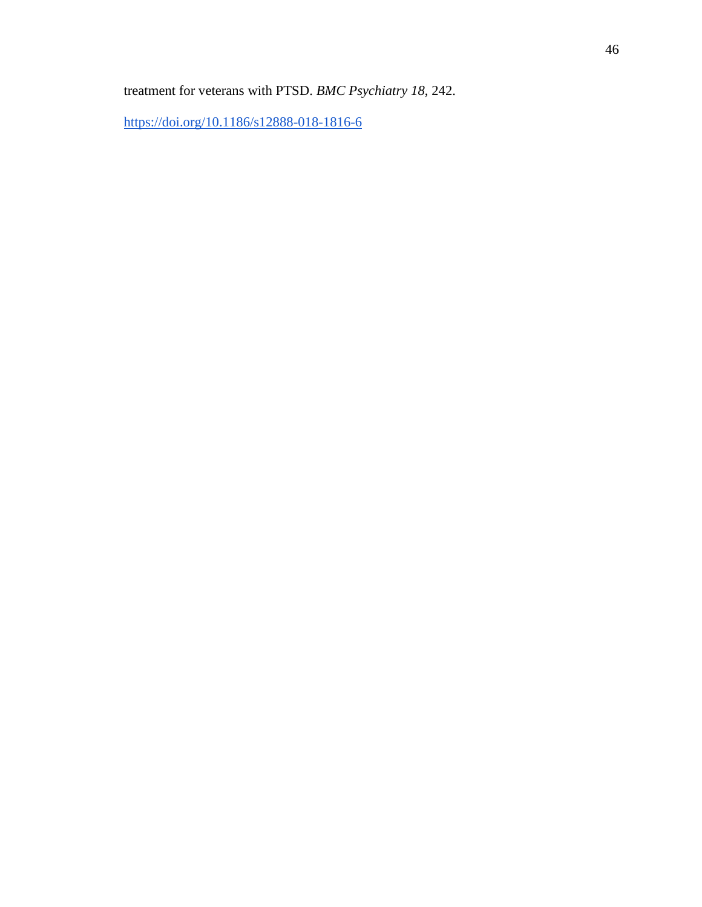treatment for veterans with PTSD. *BMC Psychiatry 18*, 242.

<https://doi.org/10.1186/s12888-018-1816-6>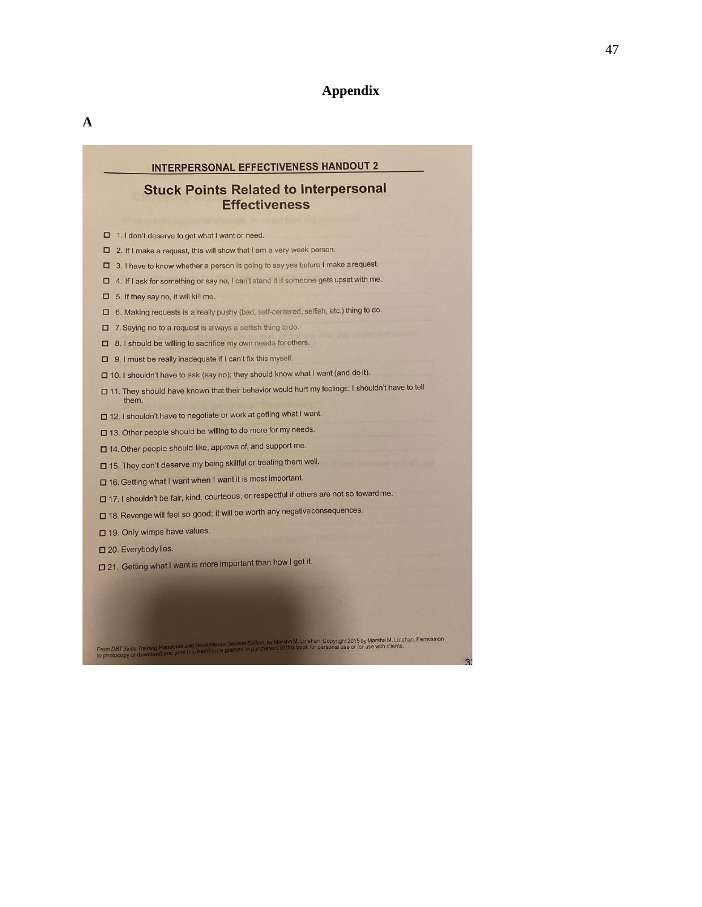# **Appendix**

# INTERPERSONAL EFFECTIVENESS HANDOUT 2

# **Stuck Points Related to Interpersonal Effectiveness**

- □ 1.1 don't deserve to get what I want or need.
- $\square$  2. If I make a request, this will show that I am a very weak person.
- □ 3. I have to know whether a person is going to say yes before I make a request.
- □ 4. If I ask for something or say no, I can't stand it if someone gets upset with me.
- $\Box$  5. If they say no, it will kill me.
- □ 6. Making requests is a really pushy (bad, self-centered, selfish, etc.) thing to do.
- □ 7. Saying no to a request is always a selfish thing todo.
- □ 8.1 should be willing to sacrifice my own needs for others.
- $\square$  9. I must be really inadequate if I can't fix this myself.
- □ 10. I shouldn't have to ask (say no); they should know what I want (and do it).
- □ 11. They should have known that their behavior would hurt my feelings; I shouldn't have to tell them.
- □ 12. I shouldn't have to negotiate or work at getting what I want.
- □ 13. Other people should be willing to do more for my needs.
- □ 14. Other people should like, approve of, and support me.
- □ 15. They don't deserve my being skillful or treating them well.
- □ 16. Getting what I want when I want it is most important.
- □ 17. I shouldn't be fair, kind, courteous, or respectful if others are not so toward me.
- □ 18. Revenge will feel so good; it will be worth any negative consequences.
- □ 19. Only wimps have values.

From DBT Skills Training Handouts and Worksheets, Second Edition<br>to photocopy or download and print this handout is granted to pure

- □ 20. Everybody lies.
- □ 21. Getting what I want is more important than how I get it.

rsha M. Linehan, Copyright 2015 by Marsha M. Linehan, Permission<br>St this book for personal use or for use with clients.